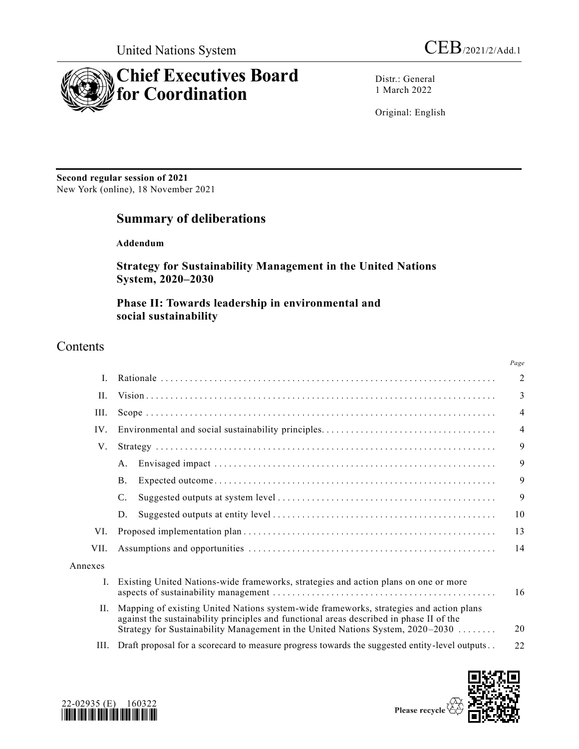

Distr.: General 1 March 2022

Original: English

**Second regular session of 2021** New York (online), 18 November 2021

# **Summary of deliberations**

**Addendum**

**Strategy for Sustainability Management in the United Nations System, 2020–2030**

**Phase II: Towards leadership in environmental and social sustainability**

# **Contents**

|         |                                                                                                                                                                                                                                                                     | Page           |
|---------|---------------------------------------------------------------------------------------------------------------------------------------------------------------------------------------------------------------------------------------------------------------------|----------------|
| I.      |                                                                                                                                                                                                                                                                     | $\overline{2}$ |
| II.     |                                                                                                                                                                                                                                                                     | 3              |
| III.    |                                                                                                                                                                                                                                                                     | $\overline{4}$ |
| IV.     |                                                                                                                                                                                                                                                                     | $\overline{4}$ |
| V.      |                                                                                                                                                                                                                                                                     | 9              |
|         | A.                                                                                                                                                                                                                                                                  | 9              |
|         | <b>B.</b>                                                                                                                                                                                                                                                           | 9              |
|         | C.                                                                                                                                                                                                                                                                  | 9              |
|         | D.                                                                                                                                                                                                                                                                  | 10             |
| VI.     |                                                                                                                                                                                                                                                                     | 13             |
| VII.    |                                                                                                                                                                                                                                                                     | 14             |
| Annexes |                                                                                                                                                                                                                                                                     |                |
| Ι.      | Existing United Nations-wide frameworks, strategies and action plans on one or more                                                                                                                                                                                 | 16             |
| H.      | Mapping of existing United Nations system-wide frameworks, strategies and action plans<br>against the sustainability principles and functional areas described in phase II of the<br>Strategy for Sustainability Management in the United Nations System, 2020–2030 | 20             |
| III.    | Draft proposal for a scorecard to measure progress towards the suggested entity-level outputs                                                                                                                                                                       | 22             |



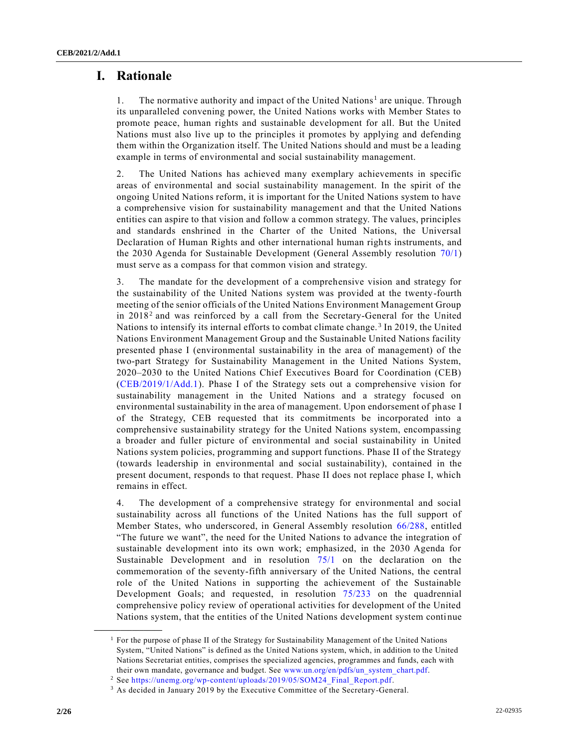# **I. Rationale**

1. The normative authority and impact of the United Nations<sup>1</sup> are unique. Through its unparalleled convening power, the United Nations works with Member States to promote peace, human rights and sustainable development for all. But the United Nations must also live up to the principles it promotes by applying and defending them within the Organization itself. The United Nations should and must be a leading example in terms of environmental and social sustainability management.

2. The United Nations has achieved many exemplary achievements in specific areas of environmental and social sustainability management. In the spirit of the ongoing United Nations reform, it is important for the United Nations system to have a comprehensive vision for sustainability management and that the United Nations entities can aspire to that vision and follow a common strategy. The values, principles and standards enshrined in the Charter of the United Nations, the Universal Declaration of Human Rights and other international human rights instruments, and the 2030 Agenda for Sustainable Development (General Assembly resolution [70/1\)](https://undocs.org/en/A/RES/70/1) must serve as a compass for that common vision and strategy.

3. The mandate for the development of a comprehensive vision and strategy for the sustainability of the United Nations system was provided at the twenty-fourth meeting of the senior officials of the United Nations Environment Management Group in  $2018<sup>2</sup>$  and was reinforced by a call from the Secretary-General for the United Nations to intensify its internal efforts to combat climate change.<sup>3</sup> In 2019, the United Nations Environment Management Group and the Sustainable United Nations facility presented phase I (environmental sustainability in the area of management) of the two-part Strategy for Sustainability Management in the United Nations System, 2020–2030 to the United Nations Chief Executives Board for Coordination (CEB) [\(CEB/2019/1/Add.1\)](https://undocs.org/en/CEB/2019/1/Add.1). Phase I of the Strategy sets out a comprehensive vision for sustainability management in the United Nations and a strategy focused on environmental sustainability in the area of management. Upon endorsement of phase I of the Strategy, CEB requested that its commitments be incorporated into a comprehensive sustainability strategy for the United Nations system, encompassing a broader and fuller picture of environmental and social sustainability in United Nations system policies, programming and support functions. Phase II of the Strategy (towards leadership in environmental and social sustainability), contained in the present document, responds to that request. Phase II does not replace phase I, which remains in effect.

4. The development of a comprehensive strategy for environmental and social sustainability across all functions of the United Nations has the full support of Member States, who underscored, in General Assembly resolution [66/288,](https://undocs.org/en/A/RES/66/288) entitled "The future we want", the need for the United Nations to advance the integration of sustainable development into its own work; emphasized, in the 2030 Agenda for Sustainable Development and in resolution [75/1](https://undocs.org/en/A/RES/75/1) on the declaration on the commemoration of the seventy-fifth anniversary of the United Nations, the central role of the United Nations in supporting the achievement of the Sustainable Development Goals; and requested, in resolution [75/233](https://undocs.org/en/A/RES/75/233) on the quadrennial comprehensive policy review of operational activities for development of the United Nations system, that the entities of the United Nations development system continue

<sup>&</sup>lt;sup>1</sup> For the purpose of phase II of the Strategy for Sustainability Management of the United Nations System, "United Nations" is defined as the United Nations system, which, in addition to the United Nations Secretariat entities, comprises the specialized agencies, programmes and funds, each with their own mandate, governance and budget. See [www.un.org/en/pdfs/un\\_system\\_chart.pdf.](http://www.un.org/en/pdfs/un_system_chart.pdf)

<sup>2</sup> See [https://unemg.org/wp-content/uploads/2019/05/SOM24\\_Final\\_Report.pdf.](https://unemg.org/wp-content/uploads/2019/05/SOM24_Final_Report.pdf)

<sup>&</sup>lt;sup>3</sup> As decided in January 2019 by the Executive Committee of the Secretary-General.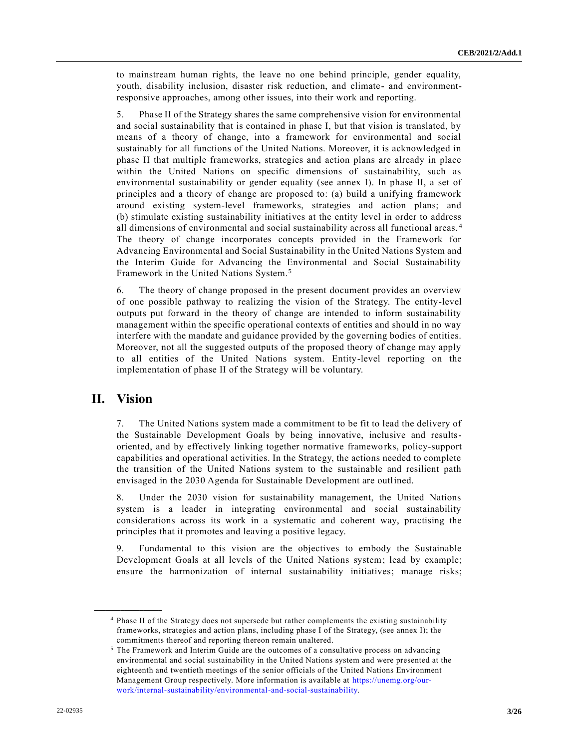to mainstream human rights, the leave no one behind principle, gender equality, youth, disability inclusion, disaster risk reduction, and climate- and environmentresponsive approaches, among other issues, into their work and reporting.

5. Phase II of the Strategy shares the same comprehensive vision for environmental and social sustainability that is contained in phase I, but that vision is translated, by means of a theory of change, into a framework for environmental and social sustainably for all functions of the United Nations. Moreover, it is acknowledged in phase II that multiple frameworks, strategies and action plans are already in place within the United Nations on specific dimensions of sustainability, such as environmental sustainability or gender equality (see annex I). In phase II, a set of principles and a theory of change are proposed to: (a) build a unifying framework around existing system-level frameworks, strategies and action plans; and (b) stimulate existing sustainability initiatives at the entity level in order to address all dimensions of environmental and social sustainability across all functional areas. <sup>4</sup> The theory of change incorporates concepts provided in the Framework for Advancing Environmental and Social Sustainability in the United Nations System and the Interim Guide for Advancing the Environmental and Social Sustainability Framework in the United Nations System. <sup>5</sup>

6. The theory of change proposed in the present document provides an overview of one possible pathway to realizing the vision of the Strategy. The entity-level outputs put forward in the theory of change are intended to inform sustainability management within the specific operational contexts of entities and should in no way interfere with the mandate and guidance provided by the governing bodies of entities. Moreover, not all the suggested outputs of the proposed theory of change may apply to all entities of the United Nations system. Entity-level reporting on the implementation of phase II of the Strategy will be voluntary.

# **II. Vision**

**\_\_\_\_\_\_\_\_\_\_\_\_\_\_\_\_\_\_**

7. The United Nations system made a commitment to be fit to lead the delivery of the Sustainable Development Goals by being innovative, inclusive and resultsoriented, and by effectively linking together normative frameworks, policy-support capabilities and operational activities. In the Strategy, the actions needed to complete the transition of the United Nations system to the sustainable and resilient path envisaged in the 2030 Agenda for Sustainable Development are outlined.

8. Under the 2030 vision for sustainability management, the United Nations system is a leader in integrating environmental and social sustainability considerations across its work in a systematic and coherent way, practising the principles that it promotes and leaving a positive legacy.

9. Fundamental to this vision are the objectives to embody the Sustainable Development Goals at all levels of the United Nations system; lead by example; ensure the harmonization of internal sustainability initiatives; manage risks;

<sup>4</sup> Phase II of the Strategy does not supersede but rather complements the existing sustainability frameworks, strategies and action plans, including phase I of the Strategy, (see annex I); the commitments thereof and reporting thereon remain unaltered.

<sup>5</sup> The Framework and Interim Guide are the outcomes of a consultative process on advancing environmental and social sustainability in the United Nations system and were presented at the eighteenth and twentieth meetings of the senior officials of the United Nations Environment Management Group respectively. More information is available at [https://unemg.org/our](https://unemg.org/our-work/internal-sustainability/environmental-and-social-sustainability)[work/internal-sustainability/environmental-and-social-sustainability.](https://unemg.org/our-work/internal-sustainability/environmental-and-social-sustainability)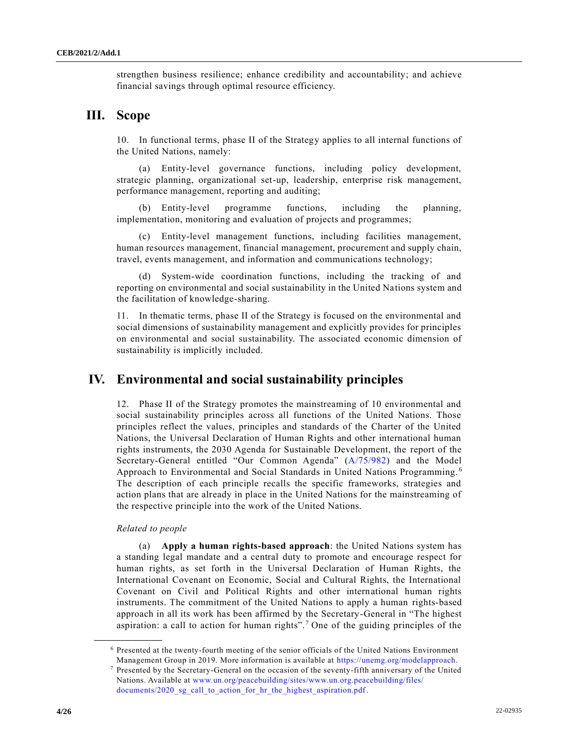strengthen business resilience; enhance credibility and accountability; and achieve financial savings through optimal resource efficiency.

# **III. Scope**

10. In functional terms, phase II of the Strategy applies to all internal functions of the United Nations, namely:

(a) Entity-level governance functions, including policy development, strategic planning, organizational set-up, leadership, enterprise risk management, performance management, reporting and auditing;

(b) Entity-level programme functions, including the planning, implementation, monitoring and evaluation of projects and programmes;

(c) Entity-level management functions, including facilities management, human resources management, financial management, procurement and supply chain, travel, events management, and information and communications technology;

System-wide coordination functions, including the tracking of and reporting on environmental and social sustainability in the United Nations system and the facilitation of knowledge-sharing.

11. In thematic terms, phase II of the Strategy is focused on the environmental and social dimensions of sustainability management and explicitly provides for principles on environmental and social sustainability. The associated economic dimension of sustainability is implicitly included.

### **IV. Environmental and social sustainability principles**

12. Phase II of the Strategy promotes the mainstreaming of 10 environmental and social sustainability principles across all functions of the United Nations. Those principles reflect the values, principles and standards of the Charter of the United Nations, the Universal Declaration of Human Rights and other international human rights instruments, the 2030 Agenda for Sustainable Development, the report of the Secretary-General entitled "Our Common Agenda" [\(A/75/982\)](https://undocs.org/en/A/75/982) and the Model Approach to Environmental and Social Standards in United Nations Programming. <sup>6</sup> The description of each principle recalls the specific frameworks, strategies and action plans that are already in place in the United Nations for the mainstreaming of the respective principle into the work of the United Nations.

#### *Related to people*

**\_\_\_\_\_\_\_\_\_\_\_\_\_\_\_\_\_\_**

(a) **Apply a human rights-based approach**: the United Nations system has a standing legal mandate and a central duty to promote and encourage respect for human rights, as set forth in the Universal Declaration of Human Rights, the International Covenant on Economic, Social and Cultural Rights, the International Covenant on Civil and Political Rights and other international human rights instruments. The commitment of the United Nations to apply a human rights-based approach in all its work has been affirmed by the Secretary-General in "The highest aspiration: a call to action for human rights".<sup>7</sup> One of the guiding principles of the

<sup>6</sup> Presented at the twenty-fourth meeting of the senior officials of the United Nations Environment Management Group in 2019. More information is available at [https://unemg.org/modelapproach.](https://unemg.org/modelapproach)

 $7$  Presented by the Secretary-General on the occasion of the seventy-fifth anniversary of the United Nations. Available at [www.un.org/peacebuilding/sites/www.un.org.peacebuilding/files/](http://www.un.org/peacebuilding/sites/www.un.org.peacebuilding/files/documents/2020_sg_call_to_action_for_hr_the_highest_aspiration.pdf) [documents/2020\\_sg\\_call\\_to\\_action\\_for\\_hr\\_the\\_highest\\_aspiration.pdf.](http://www.un.org/peacebuilding/sites/www.un.org.peacebuilding/files/documents/2020_sg_call_to_action_for_hr_the_highest_aspiration.pdf)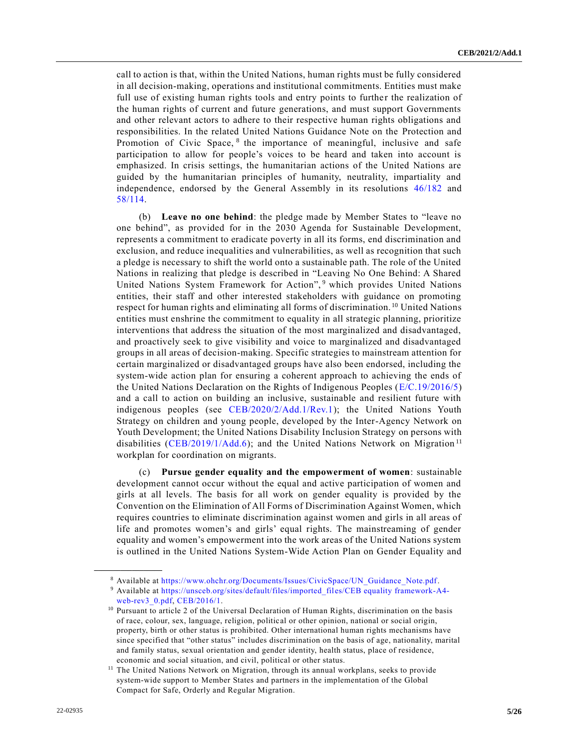call to action is that, within the United Nations, human rights must be fully considered in all decision-making, operations and institutional commitments. Entities must make full use of existing human rights tools and entry points to further the realization of the human rights of current and future generations, and must support Governments and other relevant actors to adhere to their respective human rights obligations and responsibilities. In the related United Nations Guidance Note on the Protection and Promotion of Civic Space, <sup>8</sup> the importance of meaningful, inclusive and safe participation to allow for people's voices to be heard and taken into account is emphasized. In crisis settings, the humanitarian actions of the United Nations are guided by the humanitarian principles of humanity, neutrality, impartiality and independence, endorsed by the General Assembly in its resolutions [46/182](https://undocs.org/en/A/RES/46/182) and [58/114.](https://undocs.org/en/A/RES/58/114)

(b) **Leave no one behind**: the pledge made by Member States to "leave no one behind", as provided for in the 2030 Agenda for Sustainable Development, represents a commitment to eradicate poverty in all its forms, end discrimination and exclusion, and reduce inequalities and vulnerabilities, as well as recognition that such a pledge is necessary to shift the world onto a sustainable path. The role of the United Nations in realizing that pledge is described in "Leaving No One Behind: A Shared United Nations System Framework for Action",<sup>9</sup> which provides United Nations entities, their staff and other interested stakeholders with guidance on promoting respect for human rights and eliminating all forms of discrimination.<sup>10</sup> United Nations entities must enshrine the commitment to equality in all strategic planning, prioritize interventions that address the situation of the most marginalized and disadvantaged, and proactively seek to give visibility and voice to marginalized and disadvantaged groups in all areas of decision-making. Specific strategies to mainstream attention for certain marginalized or disadvantaged groups have also been endorsed, including the system-wide action plan for ensuring a coherent approach to achieving the ends of the United Nations Declaration on the Rights of Indigenous Peoples [\(E/C.19/2016/5\)](https://undocs.org/en/E/C.19/2016/5) and a call to action on building an inclusive, sustainable and resilient future with indigenous peoples (see [CEB/2020/2/Add.1/Rev.1\)](https://undocs.org/en/CEB/2020/2/Add.1/Rev.1); the United Nations Youth Strategy on children and young people, developed by the Inter-Agency Network on Youth Development; the United Nations Disability Inclusion Strategy on persons with disabilities [\(CEB/2019/1/Add.6\)](https://undocs.org/en/CEB/2019/1/Add.6); and the United Nations Network on Migration<sup>11</sup> workplan for coordination on migrants.

(c) **Pursue gender equality and the empowerment of women**: sustainable development cannot occur without the equal and active participation of women and girls at all levels. The basis for all work on gender equality is provided by the Convention on the Elimination of All Forms of Discrimination Against Women, which requires countries to eliminate discrimination against women and girls in all areas of life and promotes women's and girls' equal rights. The mainstreaming of gender equality and women's empowerment into the work areas of the United Nations system is outlined in the United Nations System-Wide Action Plan on Gender Equality and

<sup>8</sup> Available at [https://www.ohchr.org/Documents/Issues/CivicSpace/UN\\_Guidance\\_Note.pdf.](https://www.ohchr.org/Documents/Issues/CivicSpace/UN_Guidance_Note.pdf)

<sup>9</sup> Available at [https://unsceb.org/sites/default/files/imported\\_files/CEB equality framework-A4-](https://unsceb.org/sites/default/files/imported_files/CEB%20equality%20framework-A4-web-rev3_0.pdf) web-rev3 0.pdf, [CEB/2016/1.](https://undocs.org/en/CEB/2016/1)

<sup>10</sup> Pursuant to article 2 of the Universal Declaration of Human Rights, discrimination on the basis of race, colour, sex, language, religion, political or other opinion, national or social origin, property, birth or other status is prohibited. Other international human rights mechanisms have since specified that "other status" includes discrimination on the basis of age, nationality, marital and family status, sexual orientation and gender identity, health status, place of residence, economic and social situation, and civil, political or other status.

<sup>&</sup>lt;sup>11</sup> The United Nations Network on Migration, through its annual workplans, seeks to provide system-wide support to Member States and partners in the implementation of the Global Compact for Safe, Orderly and Regular Migration.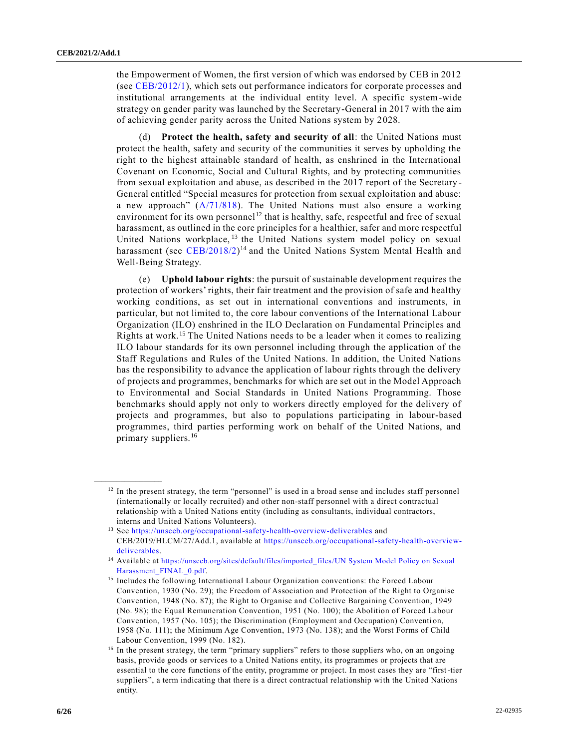the Empowerment of Women, the first version of which was endorsed by CEB in 2012 (see [CEB/2012/1\)](https://undocs.org/en/CEB/2012/1), which sets out performance indicators for corporate processes and institutional arrangements at the individual entity level. A specific system-wide strategy on gender parity was launched by the Secretary-General in 2017 with the aim of achieving gender parity across the United Nations system by 2028.

(d) **Protect the health, safety and security of all**: the United Nations must protect the health, safety and security of the communities it serves by upholding the right to the highest attainable standard of health, as enshrined in the International Covenant on Economic, Social and Cultural Rights, and by protecting communities from sexual exploitation and abuse, as described in the 2017 report of the Secretary - General entitled "Special measures for protection from sexual exploitation and abuse: a new approach" [\(A/71/818\)](https://undocs.org/en/A/71/818). The United Nations must also ensure a working environment for its own personnel<sup>12</sup> that is healthy, safe, respectful and free of sexual harassment, as outlined in the core principles for a healthier, safer and more respectful United Nations workplace, <sup>13</sup> the United Nations system model policy on sexual harassment (see [CEB/2018/2\)](https://undocs.org/en/CEB/2018/2)<sup>14</sup> and the United Nations System Mental Health and Well-Being Strategy.

(e) **Uphold labour rights**: the pursuit of sustainable development requires the protection of workers' rights, their fair treatment and the provision of safe and healthy working conditions, as set out in international conventions and instruments, in particular, but not limited to, the core labour conventions of the International Labour Organization (ILO) enshrined in the ILO Declaration on Fundamental Principles and Rights at work.<sup>15</sup> The United Nations needs to be a leader when it comes to realizing ILO labour standards for its own personnel including through the application of the Staff Regulations and Rules of the United Nations. In addition, the United Nations has the responsibility to advance the application of labour rights through the delivery of projects and programmes, benchmarks for which are set out in the Model Approach to Environmental and Social Standards in United Nations Programming. Those benchmarks should apply not only to workers directly employed for the delivery of projects and programmes, but also to populations participating in labour-based programmes, third parties performing work on behalf of the United Nations, and primary suppliers.<sup>16</sup>

 $12$  In the present strategy, the term "personnel" is used in a broad sense and includes staff personnel (internationally or locally recruited) and other non-staff personnel with a direct contractual relationship with a United Nations entity (including as consultants, individual contractors, interns and United Nations Volunteers).

<sup>13</sup> See <https://unsceb.org/occupational-safety-health-overview-deliverables> and CEB/2019/HLCM/27/Add.1, available at https://unsceb.org/occupational-safety-health-overviewdeliverables.

<sup>14</sup> Available at [https://unsceb.org/sites/default/files/imported\\_files/UN System Model Policy on Sexual](https://unsceb.org/sites/default/files/imported_files/UN%20System%20Model%20Policy%20on%20Sexual%20Harassment_FINAL_0.pdf)  [Harassment\\_FINAL\\_0.pdf](https://unsceb.org/sites/default/files/imported_files/UN%20System%20Model%20Policy%20on%20Sexual%20Harassment_FINAL_0.pdf).

<sup>&</sup>lt;sup>15</sup> Includes the following International Labour Organization conventions: the Forced Labour Convention, 1930 (No. 29); the Freedom of Association and Protection of the Right to Organise Convention, 1948 (No. 87); the Right to Organise and Collective Bargaining Convention, 1949 (No. 98); the Equal Remuneration Convention, 1951 (No. 100); the Abolition of Forced Labour Convention, 1957 (No. 105); the Discrimination (Employment and Occupation) Convention, 1958 (No. 111); the Minimum Age Convention, 1973 (No. 138); and the Worst Forms of Child Labour Convention, 1999 (No. 182).

<sup>&</sup>lt;sup>16</sup> In the present strategy, the term "primary suppliers" refers to those suppliers who, on an ongoing basis, provide goods or services to a United Nations entity, its programmes or projects that are essential to the core functions of the entity, programme or project. In most cases they are "first-tier suppliers", a term indicating that there is a direct contractual relationship with the United Nations entity.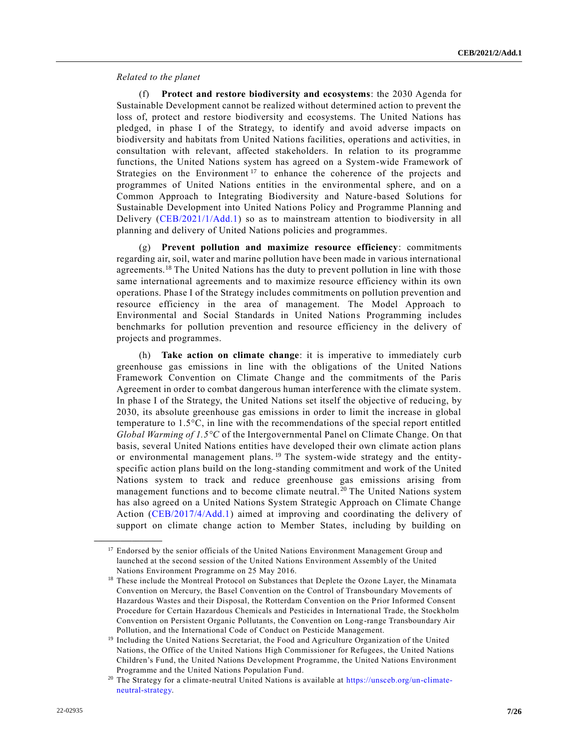#### *Related to the planet*

(f) **Protect and restore biodiversity and ecosystems**: the 2030 Agenda for Sustainable Development cannot be realized without determined action to prevent the loss of, protect and restore biodiversity and ecosystems. The United Nations has pledged, in phase I of the Strategy, to identify and avoid adverse impacts on biodiversity and habitats from United Nations facilities, operations and activities, in consultation with relevant, affected stakeholders. In relation to its programme functions, the United Nations system has agreed on a System-wide Framework of Strategies on the Environment<sup>17</sup> to enhance the coherence of the projects and programmes of United Nations entities in the environmental sphere, and on a Common Approach to Integrating Biodiversity and Nature-based Solutions for Sustainable Development into United Nations Policy and Programme Planning and Delivery [\(CEB/2021/1/Add.1\)](https://undocs.org/en/CEB/2021/1/Add.1) so as to mainstream attention to biodiversity in all planning and delivery of United Nations policies and programmes.

(g) **Prevent pollution and maximize resource efficiency**: commitments regarding air, soil, water and marine pollution have been made in various international agreements.<sup>18</sup> The United Nations has the duty to prevent pollution in line with those same international agreements and to maximize resource efficiency within its own operations. Phase I of the Strategy includes commitments on pollution prevention and resource efficiency in the area of management. The Model Approach to Environmental and Social Standards in United Nations Programming includes benchmarks for pollution prevention and resource efficiency in the delivery of projects and programmes.

(h) **Take action on climate change**: it is imperative to immediately curb greenhouse gas emissions in line with the obligations of the United Nations Framework Convention on Climate Change and the commitments of the Paris Agreement in order to combat dangerous human interference with the climate system. In phase I of the Strategy, the United Nations set itself the objective of reducing, by 2030, its absolute greenhouse gas emissions in order to limit the increase in global temperature to 1.5°C, in line with the recommendations of the special report entitled *Global Warming of 1.5°C* of the Intergovernmental Panel on Climate Change. On that basis, several United Nations entities have developed their own climate action plans or environmental management plans.<sup>19</sup> The system-wide strategy and the entityspecific action plans build on the long-standing commitment and work of the United Nations system to track and reduce greenhouse gas emissions arising from management functions and to become climate neutral. <sup>20</sup> The United Nations system has also agreed on a United Nations System Strategic Approach on Climate Change Action [\(CEB/2017/4/Add.1\)](https://undocs.org/en/CEB/2017/4/Add.1) aimed at improving and coordinating the delivery of support on climate change action to Member States, including by building on

<sup>&</sup>lt;sup>17</sup> Endorsed by the senior officials of the United Nations Environment Management Group and launched at the second session of the United Nations Environment Assembly of the United Nations Environment Programme on 25 May 2016.

<sup>&</sup>lt;sup>18</sup> These include the Montreal Protocol on Substances that Deplete the Ozone Layer, the Minamata Convention on Mercury, the Basel Convention on the Control of Transboundary Movements of Hazardous Wastes and their Disposal, the Rotterdam Convention on the Prior Informed Consent Procedure for Certain Hazardous Chemicals and Pesticides in International Trade, the Stockholm Convention on Persistent Organic Pollutants, the Convention on Long-range Transboundary Air Pollution, and the International Code of Conduct on Pesticide Management.

<sup>&</sup>lt;sup>19</sup> Including the United Nations Secretariat, the Food and Agriculture Organization of the United Nations, the Office of the United Nations High Commissioner for Refugees, the United Nations Children's Fund, the United Nations Development Programme, the United Nations Environment Programme and the United Nations Population Fund.

<sup>&</sup>lt;sup>20</sup> The Strategy for a climate-neutral United Nations is available at [https://unsceb.org/un-climate](https://unsceb.org/un-climate-neutral-strategy)[neutral-strategy.](https://unsceb.org/un-climate-neutral-strategy)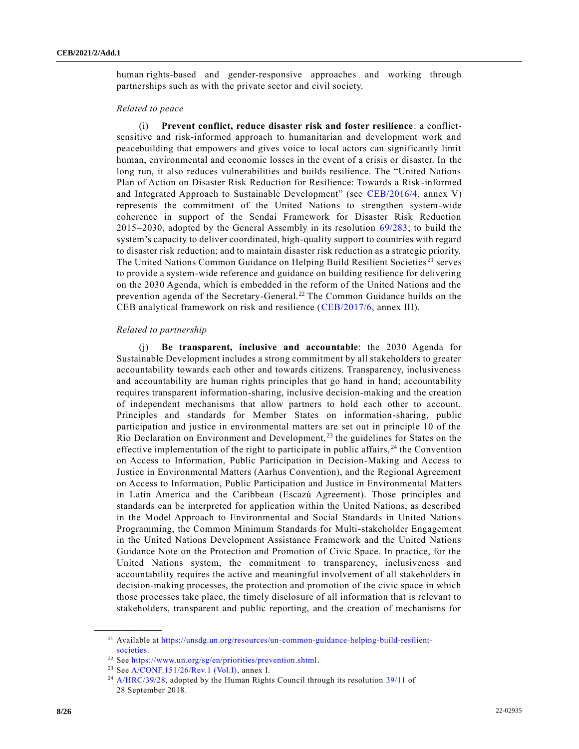human rights-based and gender-responsive approaches and working through partnerships such as with the private sector and civil society.

#### *Related to peace*

(i) **Prevent conflict, reduce disaster risk and foster resilience**: a conflictsensitive and risk-informed approach to humanitarian and development work and peacebuilding that empowers and gives voice to local actors can significantly limit human, environmental and economic losses in the event of a crisis or disaster. In the long run, it also reduces vulnerabilities and builds resilience. The "United Nations Plan of Action on Disaster Risk Reduction for Resilience: Towards a Risk-informed and Integrated Approach to Sustainable Development" (see [CEB/2016/4,](https://undocs.org/en/CEB/2016/4) annex V) represents the commitment of the United Nations to strengthen system-wide coherence in support of the Sendai Framework for Disaster Risk Reduction 2015 – 2030, adopted by the General Assembly in its resolution [69/283;](https://undocs.org/en/A/RES/69/283) to build the system's capacity to deliver coordinated, high-quality support to countries with regard to disaster risk reduction; and to maintain disaster risk reduction as a strategic priority. The United Nations Common Guidance on Helping Build Resilient Societies<sup>21</sup> serves to provide a system-wide reference and guidance on building resilience for delivering on the 2030 Agenda, which is embedded in the reform of the United Nations and the prevention agenda of the Secretary-General.<sup>22</sup> The Common Guidance builds on the CEB analytical framework on risk and resilience [\(CEB/2017/6,](https://undocs.org/en/CEB/2017/6) annex III).

#### *Related to partnership*

(j) **Be transparent, inclusive and accountable**: the 2030 Agenda for Sustainable Development includes a strong commitment by all stakeholders to greater accountability towards each other and towards citizens. Transparency, inclusiveness and accountability are human rights principles that go hand in hand; accountability requires transparent information-sharing, inclusive decision-making and the creation of independent mechanisms that allow partners to hold each other to account. Principles and standards for Member States on information-sharing, public participation and justice in environmental matters are set out in principle 10 of the Rio Declaration on Environment and Development,  $^{23}$  the guidelines for States on the effective implementation of the right to participate in public affairs,  $^{24}$  the Convention on Access to Information, Public Participation in Decision-Making and Access to Justice in Environmental Matters (Aarhus Convention), and the Regional Agreement on Access to Information, Public Participation and Justice in Environmental Matters in Latin America and the Caribbean (Escazú Agreement). Those principles and standards can be interpreted for application within the United Nations, as described in the Model Approach to Environmental and Social Standards in United Nations Programming, the Common Minimum Standards for Multi-stakeholder Engagement in the United Nations Development Assistance Framework and the United Nations Guidance Note on the Protection and Promotion of Civic Space. In practice, for the United Nations system, the commitment to transparency, inclusiveness and accountability requires the active and meaningful involvement of all stakeholders in decision-making processes, the protection and promotion of the civic space in which those processes take place, the timely disclosure of all information that is relevant to stakeholders, transparent and public reporting, and the creation of mechanisms for

<sup>21</sup> Available at [https://unsdg.un.org/resources/un-common-guidance-helping-build-resilient](https://unsdg.un.org/resources/un-common-guidance-helping-build-resilient-societies)[societies.](https://unsdg.un.org/resources/un-common-guidance-helping-build-resilient-societies)

<sup>22</sup> See [https://www.un.org/sg/en/priorities/prevention.shtml.](https://www.un.org/sg/en/priorities/prevention.shtml)

<sup>&</sup>lt;sup>23</sup> Se[e A/CONF.151/26/Rev.1 \(Vol.I\),](https://undocs.org/en/A/CONF.151/26/Rev.1(Vol.I)) annex I.

<sup>&</sup>lt;sup>24</sup> [A/HRC/39/28,](https://undocs.org/en/A/HRC/39/28) adopted by the Human Rights Council through its resolution [39/11](https://undocs.org/en/A/HRC/RES/39/11) of 28 September 2018.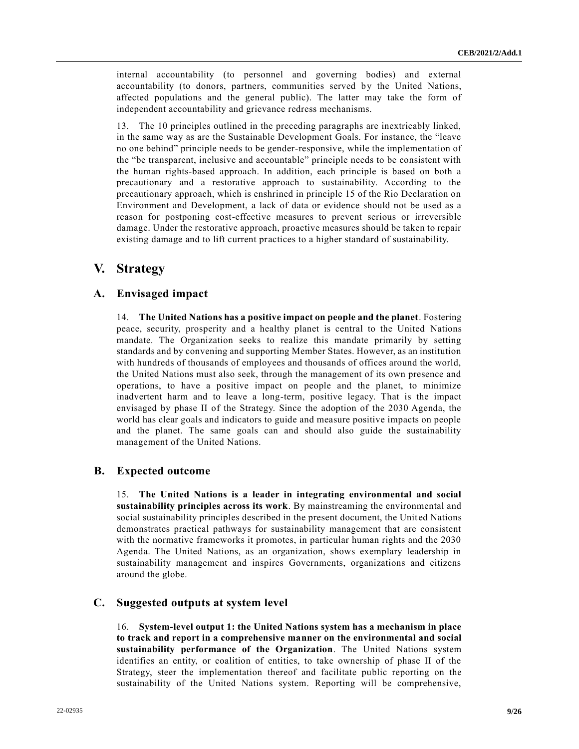internal accountability (to personnel and governing bodies) and external accountability (to donors, partners, communities served by the United Nations, affected populations and the general public). The latter may take the form of independent accountability and grievance redress mechanisms.

13. The 10 principles outlined in the preceding paragraphs are inextricably linked, in the same way as are the Sustainable Development Goals. For instance, the "leave no one behind" principle needs to be gender-responsive, while the implementation of the "be transparent, inclusive and accountable" principle needs to be consistent with the human rights-based approach. In addition, each principle is based on both a precautionary and a restorative approach to sustainability. According to the precautionary approach, which is enshrined in principle 15 of the Rio Declaration on Environment and Development, a lack of data or evidence should not be used as a reason for postponing cost-effective measures to prevent serious or irreversible damage. Under the restorative approach, proactive measures should be taken to repair existing damage and to lift current practices to a higher standard of sustainability.

# **V. Strategy**

### **A. Envisaged impact**

14. **The United Nations has a positive impact on people and the planet**. Fostering peace, security, prosperity and a healthy planet is central to the United Nations mandate. The Organization seeks to realize this mandate primarily by setting standards and by convening and supporting Member States. However, as an institution with hundreds of thousands of employees and thousands of offices around the world, the United Nations must also seek, through the management of its own presence and operations, to have a positive impact on people and the planet, to minimize inadvertent harm and to leave a long-term, positive legacy. That is the impact envisaged by phase II of the Strategy. Since the adoption of the 2030 Agenda, the world has clear goals and indicators to guide and measure positive impacts on people and the planet. The same goals can and should also guide the sustainability management of the United Nations.

### **B. Expected outcome**

15. **The United Nations is a leader in integrating environmental and social sustainability principles across its work**. By mainstreaming the environmental and social sustainability principles described in the present document, the United Nations demonstrates practical pathways for sustainability management that are consistent with the normative frameworks it promotes, in particular human rights and the 2030 Agenda. The United Nations, as an organization, shows exemplary leadership in sustainability management and inspires Governments, organizations and citizens around the globe.

### **C. Suggested outputs at system level**

16. **System-level output 1: the United Nations system has a mechanism in place to track and report in a comprehensive manner on the environmental and social sustainability performance of the Organization**. The United Nations system identifies an entity, or coalition of entities, to take ownership of phase II of the Strategy, steer the implementation thereof and facilitate public reporting on the sustainability of the United Nations system. Reporting will be comprehensive,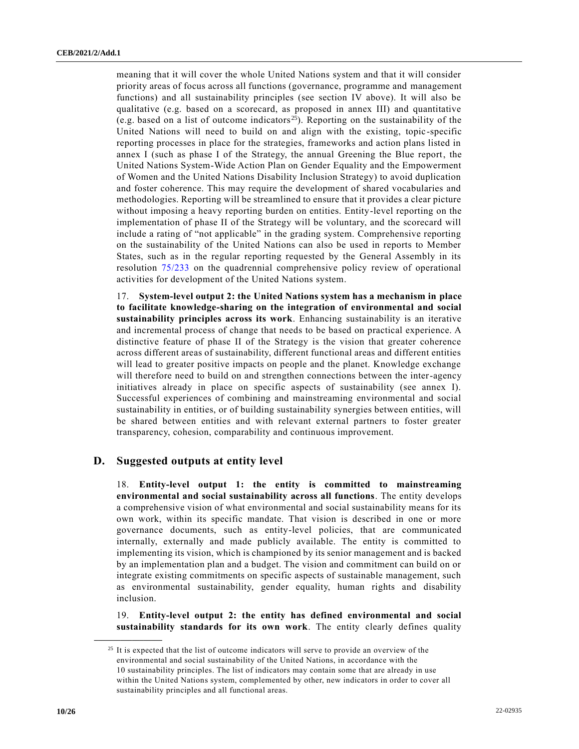meaning that it will cover the whole United Nations system and that it will consider priority areas of focus across all functions (governance, programme and management functions) and all sustainability principles (see section IV above). It will also be qualitative (e.g. based on a scorecard, as proposed in annex III) and quantitative (e.g. based on a list of outcome indicators<sup>25</sup>). Reporting on the sustainability of the United Nations will need to build on and align with the existing, topic-specific reporting processes in place for the strategies, frameworks and action plans listed in annex I (such as phase I of the Strategy, the annual Greening the Blue report, the United Nations System-Wide Action Plan on Gender Equality and the Empowerment of Women and the United Nations Disability Inclusion Strategy) to avoid duplication and foster coherence. This may require the development of shared vocabularies and methodologies. Reporting will be streamlined to ensure that it provides a clear picture without imposing a heavy reporting burden on entities. Entity-level reporting on the implementation of phase II of the Strategy will be voluntary, and the scorecard will include a rating of "not applicable" in the grading system. Comprehensive reporting on the sustainability of the United Nations can also be used in reports to Member States, such as in the regular reporting requested by the General Assembly in its resolution [75/233](https://undocs.org/en/A/RES/75/233) on the quadrennial comprehensive policy review of operational activities for development of the United Nations system.

17. **System-level output 2: the United Nations system has a mechanism in place to facilitate knowledge-sharing on the integration of environmental and social sustainability principles across its work**. Enhancing sustainability is an iterative and incremental process of change that needs to be based on practical experience. A distinctive feature of phase II of the Strategy is the vision that greater coherence across different areas of sustainability, different functional areas and different entities will lead to greater positive impacts on people and the planet. Knowledge exchange will therefore need to build on and strengthen connections between the inter-agency initiatives already in place on specific aspects of sustainability (see annex I). Successful experiences of combining and mainstreaming environmental and social sustainability in entities, or of building sustainability synergies between entities, will be shared between entities and with relevant external partners to foster greater transparency, cohesion, comparability and continuous improvement.

#### **D. Suggested outputs at entity level**

18. **Entity-level output 1: the entity is committed to mainstreaming environmental and social sustainability across all functions**. The entity develops a comprehensive vision of what environmental and social sustainability means for its own work, within its specific mandate. That vision is described in one or more governance documents, such as entity-level policies, that are communicated internally, externally and made publicly available. The entity is committed to implementing its vision, which is championed by its senior management and is backed by an implementation plan and a budget. The vision and commitment can build on or integrate existing commitments on specific aspects of sustainable management, such as environmental sustainability, gender equality, human rights and disability inclusion.

19. **Entity-level output 2: the entity has defined environmental and social sustainability standards for its own work**. The entity clearly defines quality

<sup>&</sup>lt;sup>25</sup> It is expected that the list of outcome indicators will serve to provide an overview of the environmental and social sustainability of the United Nations, in accordance with the 10 sustainability principles. The list of indicators may contain some that are already in use within the United Nations system, complemented by other, new indicators in order to cover all sustainability principles and all functional areas.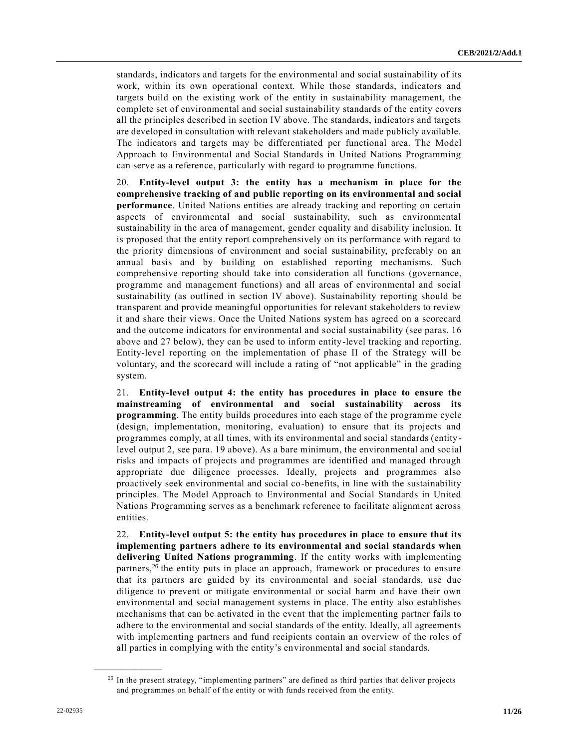standards, indicators and targets for the environmental and social sustainability of its work, within its own operational context. While those standards, indicators and targets build on the existing work of the entity in sustainability management, the complete set of environmental and social sustainability standards of the entity covers all the principles described in section IV above. The standards, indicators and targets are developed in consultation with relevant stakeholders and made publicly available. The indicators and targets may be differentiated per functional area. The Model Approach to Environmental and Social Standards in United Nations Programming can serve as a reference, particularly with regard to programme functions.

20. **Entity-level output 3: the entity has a mechanism in place for the comprehensive tracking of and public reporting on its environmental and social performance**. United Nations entities are already tracking and reporting on certain aspects of environmental and social sustainability, such as environmental sustainability in the area of management, gender equality and disability inclusion. It is proposed that the entity report comprehensively on its performance with regard to the priority dimensions of environment and social sustainability, preferably on an annual basis and by building on established reporting mechanisms. Such comprehensive reporting should take into consideration all functions (governance, programme and management functions) and all areas of environmental and social sustainability (as outlined in section IV above). Sustainability reporting should be transparent and provide meaningful opportunities for relevant stakeholders to review it and share their views. Once the United Nations system has agreed on a scorecard and the outcome indicators for environmental and social sustainability (see paras. 16 above and 27 below), they can be used to inform entity-level tracking and reporting. Entity-level reporting on the implementation of phase II of the Strategy will be voluntary, and the scorecard will include a rating of "not applicable" in the grading system.

21. **Entity-level output 4: the entity has procedures in place to ensure the mainstreaming of environmental and social sustainability across its programming**. The entity builds procedures into each stage of the programme cycle (design, implementation, monitoring, evaluation) to ensure that its projects and programmes comply, at all times, with its environmental and social standards (entity level output 2, see para. 19 above). As a bare minimum, the environmental and soc ial risks and impacts of projects and programmes are identified and managed through appropriate due diligence processes. Ideally, projects and programmes also proactively seek environmental and social co-benefits, in line with the sustainability principles. The Model Approach to Environmental and Social Standards in United Nations Programming serves as a benchmark reference to facilitate alignment across entities.

22. **Entity-level output 5: the entity has procedures in place to ensure that its implementing partners adhere to its environmental and social standards when delivering United Nations programming**. If the entity works with implementing partners,<sup>26</sup> the entity puts in place an approach, framework or procedures to ensure that its partners are guided by its environmental and social standards, use due diligence to prevent or mitigate environmental or social harm and have their own environmental and social management systems in place. The entity also establishes mechanisms that can be activated in the event that the implementing partner fails to adhere to the environmental and social standards of the entity. Ideally, all agreements with implementing partners and fund recipients contain an overview of the roles of all parties in complying with the entity's environmental and social standards.

<sup>&</sup>lt;sup>26</sup> In the present strategy, "implementing partners" are defined as third parties that deliver projects and programmes on behalf of the entity or with funds received from the entity.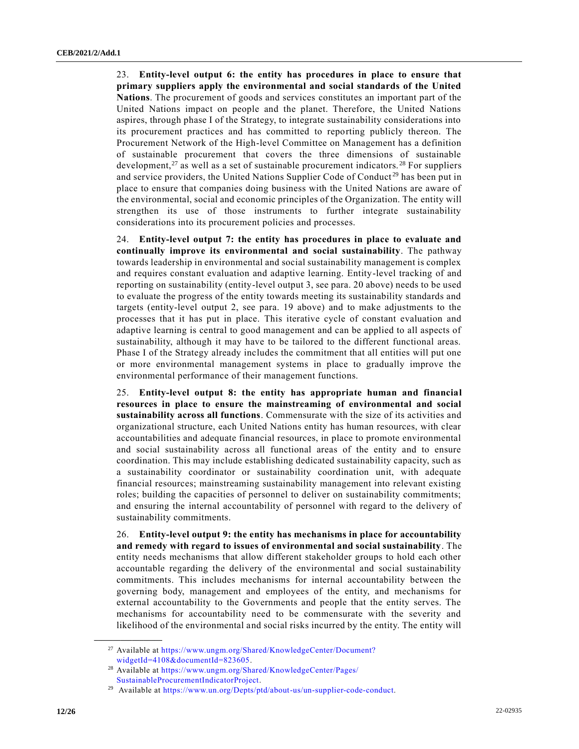23. **Entity-level output 6: the entity has procedures in place to ensure that primary suppliers apply the environmental and social standards of the United Nations**. The procurement of goods and services constitutes an important part of the United Nations impact on people and the planet. Therefore, the United Nations aspires, through phase I of the Strategy, to integrate sustainability considerations into its procurement practices and has committed to reporting publicly thereon. The Procurement Network of the High-level Committee on Management has a definition of sustainable procurement that covers the three dimensions of sustainable development,<sup>27</sup> as well as a set of sustainable procurement indicators.<sup>28</sup> For suppliers and service providers, the United Nations Supplier Code of Conduct<sup>29</sup> has been put in place to ensure that companies doing business with the United Nations are aware of the environmental, social and economic principles of the Organization. The entity will strengthen its use of those instruments to further integrate sustainability considerations into its procurement policies and processes.

24. **Entity-level output 7: the entity has procedures in place to evaluate and continually improve its environmental and social sustainability**. The pathway towards leadership in environmental and social sustainability management is complex and requires constant evaluation and adaptive learning. Entity-level tracking of and reporting on sustainability (entity-level output 3, see para. 20 above) needs to be used to evaluate the progress of the entity towards meeting its sustainability standards and targets (entity-level output 2, see para. 19 above) and to make adjustments to the processes that it has put in place. This iterative cycle of constant evaluation and adaptive learning is central to good management and can be applied to all aspects of sustainability, although it may have to be tailored to the different functional areas. Phase I of the Strategy already includes the commitment that all entities will put one or more environmental management systems in place to gradually improve the environmental performance of their management functions.

25. **Entity-level output 8: the entity has appropriate human and financial resources in place to ensure the mainstreaming of environmental and social sustainability across all functions**. Commensurate with the size of its activities and organizational structure, each United Nations entity has human resources, with clear accountabilities and adequate financial resources, in place to promote environmental and social sustainability across all functional areas of the entity and to ensure coordination. This may include establishing dedicated sustainability capacity, such as a sustainability coordinator or sustainability coordination unit, with adequate financial resources; mainstreaming sustainability management into relevant existing roles; building the capacities of personnel to deliver on sustainability commitments; and ensuring the internal accountability of personnel with regard to the delivery of sustainability commitments.

26. **Entity-level output 9: the entity has mechanisms in place for accountability and remedy with regard to issues of environmental and social sustainability**. The entity needs mechanisms that allow different stakeholder groups to hold each other accountable regarding the delivery of the environmental and social sustainability commitments. This includes mechanisms for internal accountability between the governing body, management and employees of the entity, and mechanisms for external accountability to the Governments and people that the entity serves. The mechanisms for accountability need to be commensurate with the severity and likelihood of the environmental and social risks incurred by the entity. The entity will

<sup>&</sup>lt;sup>27</sup> Available at [https://www.ungm.org/Shared/KnowledgeCenter/Document?](https://www.ungm.org/Shared/KnowledgeCenter/Document?widgetId=4108&documentId=823605) [widgetId=4108&documentId=823605.](https://www.ungm.org/Shared/KnowledgeCenter/Document?widgetId=4108&documentId=823605) 

<sup>28</sup> Available at [https://www.ungm.org/Shared/KnowledgeCenter/Pages/](https://www.ungm.org/Shared/KnowledgeCenter/Pages/SustainableProcurementIndicatorProject) [SustainableProcurementIndicatorProject.](https://www.ungm.org/Shared/KnowledgeCenter/Pages/SustainableProcurementIndicatorProject)

<sup>29</sup> Available at [https://www.un.org/Depts/ptd/about-us/un-supplier-code-conduct.](https://www.un.org/Depts/ptd/about-us/un-supplier-code-conduct)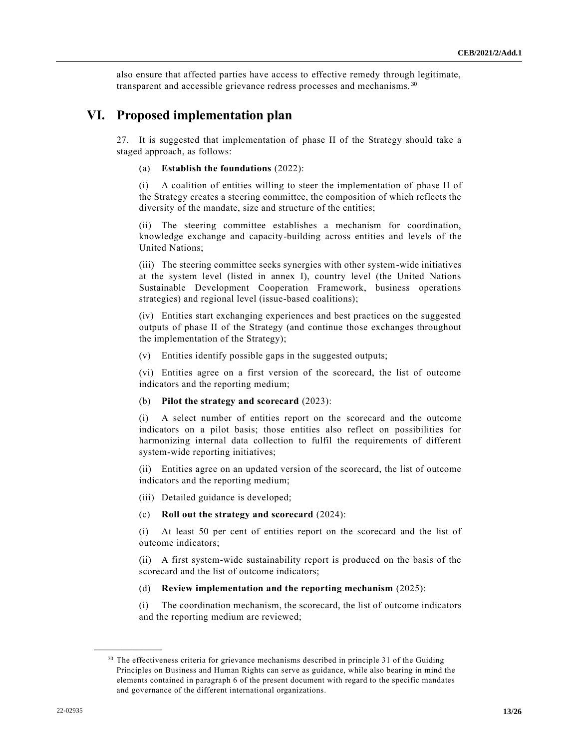also ensure that affected parties have access to effective remedy through legitimate, transparent and accessible grievance redress processes and mechanisms.<sup>30</sup>

# **VI. Proposed implementation plan**

27. It is suggested that implementation of phase II of the Strategy should take a staged approach, as follows:

#### (a) **Establish the foundations** (2022):

(i) A coalition of entities willing to steer the implementation of phase II of the Strategy creates a steering committee, the composition of which reflects the diversity of the mandate, size and structure of the entities;

(ii) The steering committee establishes a mechanism for coordination, knowledge exchange and capacity-building across entities and levels of the United Nations;

(iii) The steering committee seeks synergies with other system-wide initiatives at the system level (listed in annex I), country level (the United Nations Sustainable Development Cooperation Framework, business operations strategies) and regional level (issue-based coalitions);

(iv) Entities start exchanging experiences and best practices on the suggested outputs of phase II of the Strategy (and continue those exchanges throughout the implementation of the Strategy);

(v) Entities identify possible gaps in the suggested outputs;

(vi) Entities agree on a first version of the scorecard, the list of outcome indicators and the reporting medium;

#### (b) **Pilot the strategy and scorecard** (2023):

(i) A select number of entities report on the scorecard and the outcome indicators on a pilot basis; those entities also reflect on possibilities for harmonizing internal data collection to fulfil the requirements of different system-wide reporting initiatives;

(ii) Entities agree on an updated version of the scorecard, the list of outcome indicators and the reporting medium;

(iii) Detailed guidance is developed;

#### (c) **Roll out the strategy and scorecard** (2024):

(i) At least 50 per cent of entities report on the scorecard and the list of outcome indicators;

(ii) A first system-wide sustainability report is produced on the basis of the scorecard and the list of outcome indicators;

#### (d) **Review implementation and the reporting mechanism** (2025):

(i) The coordination mechanism, the scorecard, the list of outcome indicators and the reporting medium are reviewed;

 $30$  The effectiveness criteria for grievance mechanisms described in principle 31 of the Guiding Principles on Business and Human Rights can serve as guidance, while also bearing in mind the elements contained in paragraph 6 of the present document with regard to the specific mandates and governance of the different international organizations.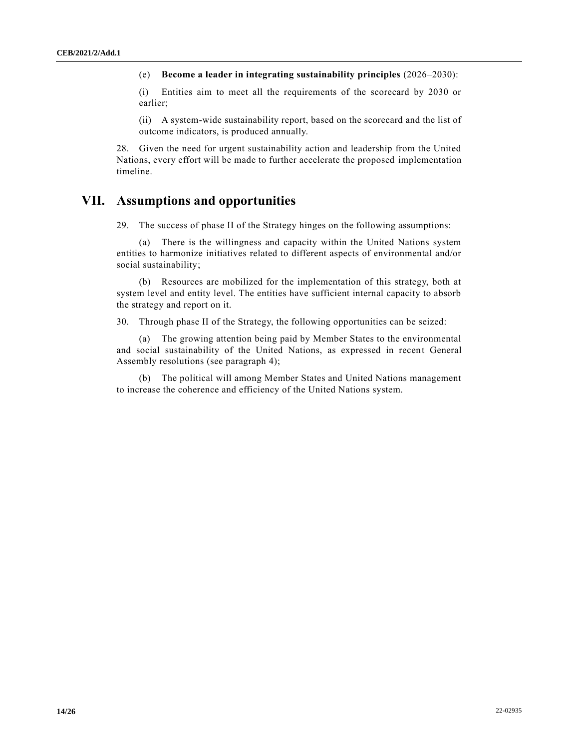(e) **Become a leader in integrating sustainability principles** (2026–2030):

(i) Entities aim to meet all the requirements of the scorecard by 2030 or earlier;

(ii) A system-wide sustainability report, based on the scorecard and the list of outcome indicators, is produced annually.

28. Given the need for urgent sustainability action and leadership from the United Nations, every effort will be made to further accelerate the proposed implementation timeline.

## **VII. Assumptions and opportunities**

29. The success of phase II of the Strategy hinges on the following assumptions:

(a) There is the willingness and capacity within the United Nations system entities to harmonize initiatives related to different aspects of environmental and/or social sustainability;

(b) Resources are mobilized for the implementation of this strategy, both at system level and entity level. The entities have sufficient internal capacity to absorb the strategy and report on it.

30. Through phase II of the Strategy, the following opportunities can be seized:

(a) The growing attention being paid by Member States to the environmental and social sustainability of the United Nations, as expressed in recent General Assembly resolutions (see paragraph 4);

(b) The political will among Member States and United Nations management to increase the coherence and efficiency of the United Nations system.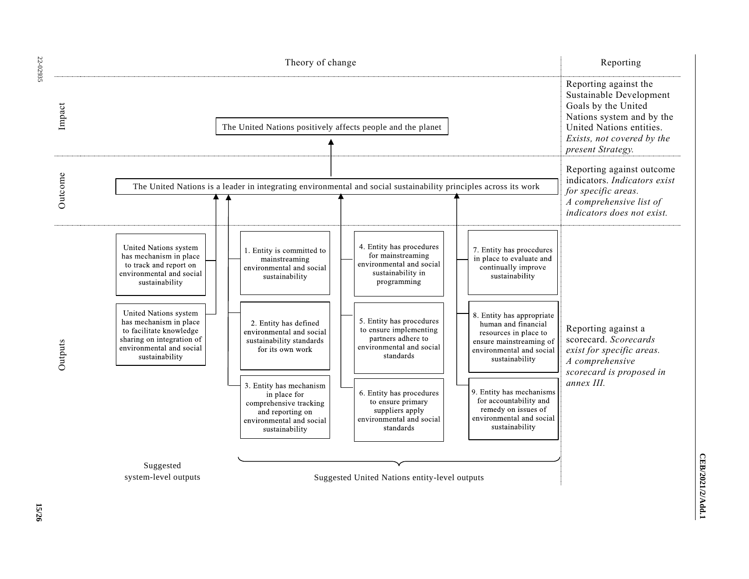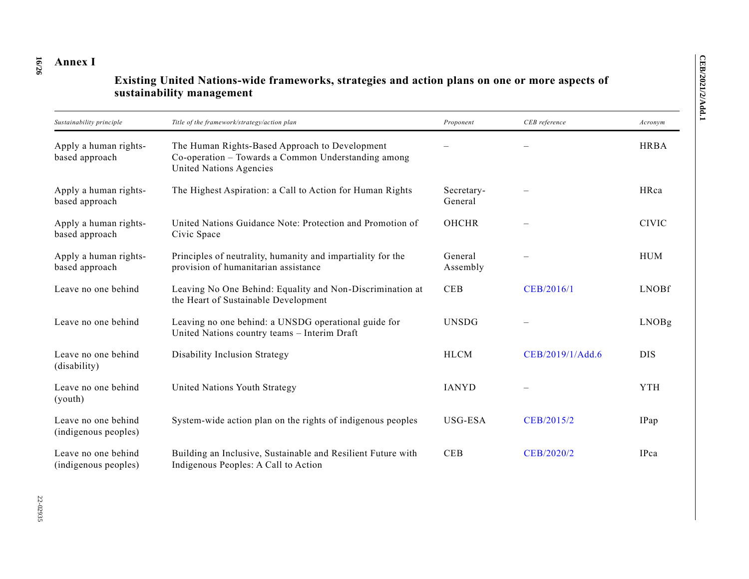#### **16 /26 Annex I**

# **Existing United Nations-wide frameworks, strategies and action plans on one or more aspects of sustainability management**

| Sustainability principle                    | Title of the framework/strategy/action plan                                                                                      | Proponent             | CEB reference    | Acronym      |
|---------------------------------------------|----------------------------------------------------------------------------------------------------------------------------------|-----------------------|------------------|--------------|
| Apply a human rights-<br>based approach     | The Human Rights-Based Approach to Development<br>Co-operation - Towards a Common Understanding among<br>United Nations Agencies |                       |                  | <b>HRBA</b>  |
| Apply a human rights-<br>based approach     | The Highest Aspiration: a Call to Action for Human Rights                                                                        | Secretary-<br>General |                  | HRca         |
| Apply a human rights-<br>based approach     | United Nations Guidance Note: Protection and Promotion of<br>Civic Space                                                         | <b>OHCHR</b>          |                  | <b>CIVIC</b> |
| Apply a human rights-<br>based approach     | Principles of neutrality, humanity and impartiality for the<br>provision of humanitarian assistance                              | General<br>Assembly   |                  | <b>HUM</b>   |
| Leave no one behind                         | Leaving No One Behind: Equality and Non-Discrimination at<br>the Heart of Sustainable Development                                | <b>CEB</b>            | CEB/2016/1       | <b>LNOBf</b> |
| Leave no one behind                         | Leaving no one behind: a UNSDG operational guide for<br>United Nations country teams - Interim Draft                             | <b>UNSDG</b>          |                  | LNOBg        |
| Leave no one behind<br>(disability)         | Disability Inclusion Strategy                                                                                                    | <b>HLCM</b>           | CEB/2019/1/Add.6 | <b>DIS</b>   |
| Leave no one behind<br>(youth)              | United Nations Youth Strategy                                                                                                    | <b>IANYD</b>          |                  | <b>YTH</b>   |
| Leave no one behind<br>(indigenous peoples) | System-wide action plan on the rights of indigenous peoples                                                                      | USG-ESA               | CEB/2015/2       | IPap         |
| Leave no one behind<br>(indigenous peoples) | Building an Inclusive, Sustainable and Resilient Future with<br>Indigenous Peoples: A Call to Action                             | <b>CEB</b>            | CEB/2020/2       | IPca         |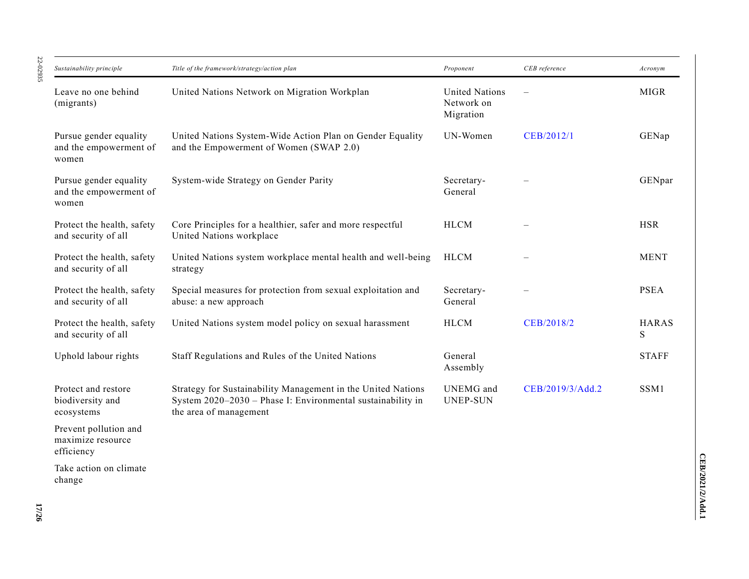| Sustainability principle                                  | Title of the framework/strategy/action plan                                                                                                           | Proponent                                        | CEB reference    | Acronym           |
|-----------------------------------------------------------|-------------------------------------------------------------------------------------------------------------------------------------------------------|--------------------------------------------------|------------------|-------------------|
| Leave no one behind<br>(migrants)                         | United Nations Network on Migration Workplan                                                                                                          | <b>United Nations</b><br>Network on<br>Migration |                  | <b>MIGR</b>       |
| Pursue gender equality<br>and the empowerment of<br>women | United Nations System-Wide Action Plan on Gender Equality<br>and the Empowerment of Women (SWAP 2.0)                                                  | UN-Women                                         | CEB/2012/1       | GENap             |
| Pursue gender equality<br>and the empowerment of<br>women | System-wide Strategy on Gender Parity                                                                                                                 | Secretary-<br>General                            |                  | GENpar            |
| Protect the health, safety<br>and security of all         | Core Principles for a healthier, safer and more respectful<br>United Nations workplace                                                                | <b>HLCM</b>                                      |                  | <b>HSR</b>        |
| Protect the health, safety<br>and security of all         | United Nations system workplace mental health and well-being<br>strategy                                                                              | <b>HLCM</b>                                      |                  | <b>MENT</b>       |
| Protect the health, safety<br>and security of all         | Special measures for protection from sexual exploitation and<br>abuse: a new approach                                                                 | Secretary-<br>General                            |                  | <b>PSEA</b>       |
| Protect the health, safety<br>and security of all         | United Nations system model policy on sexual harassment                                                                                               | <b>HLCM</b>                                      | CEB/2018/2       | <b>HARAS</b><br>S |
| Uphold labour rights                                      | Staff Regulations and Rules of the United Nations                                                                                                     | General<br>Assembly                              |                  | <b>STAFF</b>      |
| Protect and restore<br>biodiversity and<br>ecosystems     | Strategy for Sustainability Management in the United Nations<br>System 2020-2030 - Phase I: Environmental sustainability in<br>the area of management | UNEMG and<br><b>UNEP-SUN</b>                     | CEB/2019/3/Add.2 | SSM1              |
| Prevent pollution and<br>maximize resource<br>efficiency  |                                                                                                                                                       |                                                  |                  |                   |
| Take action on climate                                    |                                                                                                                                                       |                                                  |                  |                   |

22-02935 22-02935

change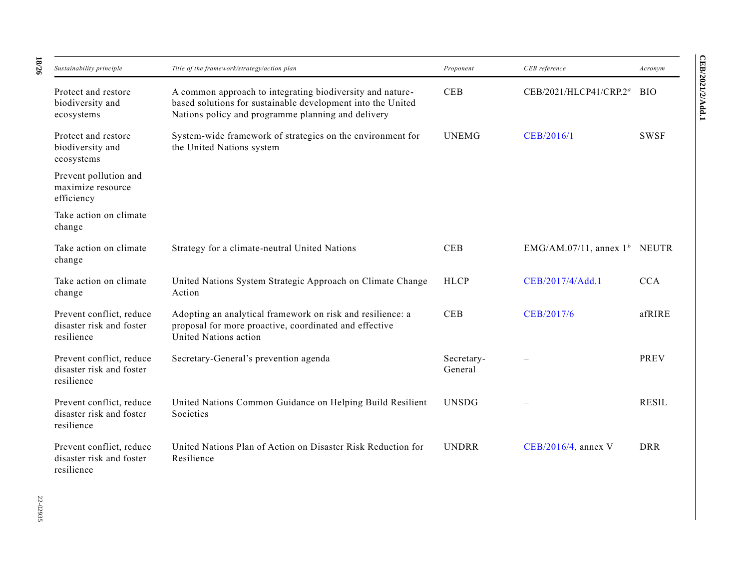| Sustainability principle                                           | Title of the framework/strategy/action plan                                                                                                                                    | Proponent             | CEB reference                   | Acronym      |
|--------------------------------------------------------------------|--------------------------------------------------------------------------------------------------------------------------------------------------------------------------------|-----------------------|---------------------------------|--------------|
| Protect and restore<br>biodiversity and<br>ecosystems              | A common approach to integrating biodiversity and nature-<br>based solutions for sustainable development into the United<br>Nations policy and programme planning and delivery | <b>CEB</b>            | CEB/2021/HLCP41/CRP.2ª          | <b>BIO</b>   |
| Protect and restore<br>biodiversity and<br>ecosystems              | System-wide framework of strategies on the environment for<br>the United Nations system                                                                                        | <b>UNEMG</b>          | CEB/2016/1                      | <b>SWSF</b>  |
| Prevent pollution and<br>maximize resource<br>efficiency           |                                                                                                                                                                                |                       |                                 |              |
| Take action on climate<br>change                                   |                                                                                                                                                                                |                       |                                 |              |
| Take action on climate<br>change                                   | Strategy for a climate-neutral United Nations                                                                                                                                  | CEB                   | EMG/AM.07/11, annex $1^b$ NEUTR |              |
| Take action on climate<br>change                                   | United Nations System Strategic Approach on Climate Change<br>Action                                                                                                           | <b>HLCP</b>           | CEB/2017/4/Add.1                | <b>CCA</b>   |
| Prevent conflict, reduce<br>disaster risk and foster<br>resilience | Adopting an analytical framework on risk and resilience: a<br>proposal for more proactive, coordinated and effective<br>United Nations action                                  | <b>CEB</b>            | CEB/2017/6                      | afRIRE       |
| Prevent conflict, reduce<br>disaster risk and foster<br>resilience | Secretary-General's prevention agenda                                                                                                                                          | Secretary-<br>General |                                 | <b>PREV</b>  |
| Prevent conflict, reduce<br>disaster risk and foster<br>resilience | United Nations Common Guidance on Helping Build Resilient<br>Societies                                                                                                         | <b>UNSDG</b>          |                                 | <b>RESIL</b> |
| Prevent conflict, reduce<br>disaster risk and foster<br>resilience | United Nations Plan of Action on Disaster Risk Reduction for<br>Resilience                                                                                                     | <b>UNDRR</b>          | $CEB/2016/4$ , annex V          | <b>DRR</b>   |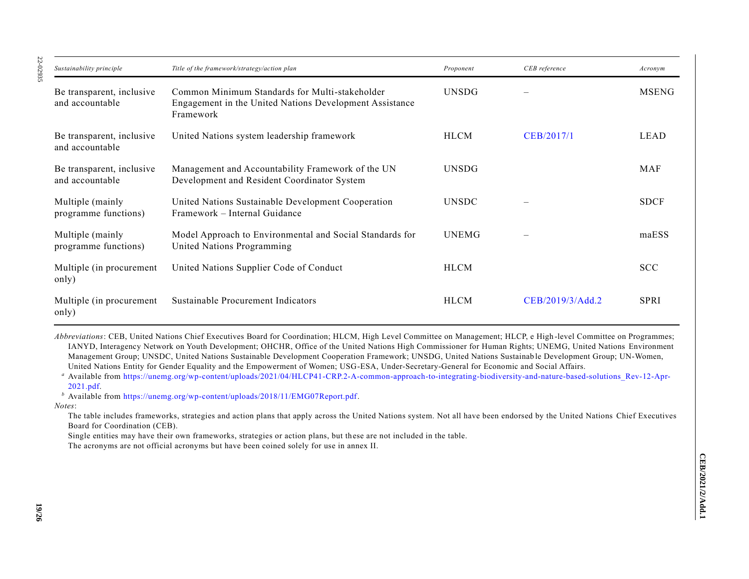| Sustainability principle                     | Title of the framework/strategy/action plan                                                                            | Proponent    | CEB reference    | Acronym      |
|----------------------------------------------|------------------------------------------------------------------------------------------------------------------------|--------------|------------------|--------------|
| Be transparent, inclusive<br>and accountable | Common Minimum Standards for Multi-stakeholder<br>Engagement in the United Nations Development Assistance<br>Framework | <b>UNSDG</b> |                  | <b>MSENG</b> |
| Be transparent, inclusive<br>and accountable | United Nations system leadership framework                                                                             | <b>HLCM</b>  | CEB/2017/1       | LEAD         |
| Be transparent, inclusive<br>and accountable | Management and Accountability Framework of the UN<br>Development and Resident Coordinator System                       | <b>UNSDG</b> |                  | MAF          |
| Multiple (mainly<br>programme functions)     | United Nations Sustainable Development Cooperation<br>Framework – Internal Guidance                                    | <b>UNSDC</b> |                  | <b>SDCF</b>  |
| Multiple (mainly<br>programme functions)     | Model Approach to Environmental and Social Standards for<br>United Nations Programming                                 | <b>UNEMG</b> |                  | maESS        |
| Multiple (in procurement)<br>only)           | United Nations Supplier Code of Conduct                                                                                | <b>HLCM</b>  |                  | <b>SCC</b>   |
| Multiple (in procurement)<br>only)           | Sustainable Procurement Indicators                                                                                     | <b>HLCM</b>  | CEB/2019/3/Add.2 | <b>SPRI</b>  |

*Abbreviations*: CEB, United Nations Chief Executives Board for Coordination; HLCM, High Level Committee on Management; HLCP, e High -level Committee on Programmes; IANYD, Interagency Network on Youth Development; OHCHR, Office of the United Nations High Commissioner for Human Rights; UNEMG, United Nations Environment Management Group; UNSDC, United Nations Sustainable Development Cooperation Framework; UNSDG, United Nations Sustainab le Development Group; UN-Women, United Nations Entity for Gender Equality and the Empowerment of Women; USG-ESA, Under-Secretary-General for Economic and Social Affairs.

*<sup>a</sup>* Available from [https://unemg.org/wp-content/uploads/2021/04/HLCP41-CRP.2-A-common-approach-to-integrating-biodiversity-and-nature-based-solutions\\_Rev-12-Apr-](https://unemg.org/wp-content/uploads/2021/04/HLCP41-CRP.2-A-common-approach-to-integrating-biodiversity-and-nature-based-solutions_Rev-12-Apr-2021.pdf)[2021.pdf.](https://unemg.org/wp-content/uploads/2021/04/HLCP41-CRP.2-A-common-approach-to-integrating-biodiversity-and-nature-based-solutions_Rev-12-Apr-2021.pdf)

*<sup>b</sup>* Available from [https://unemg.org/wp-content/uploads/2018/11/EMG07Report.pdf.](https://unemg.org/wp-content/uploads/2018/11/EMG07Report.pdf)

*Notes*:

The table includes frameworks, strategies and action plans that apply across the United Nations system. Not all have been endorsed by the United Nations Chief Executives Board for Coordination (CEB).

Single entities may have their own frameworks, strategies or action plans, but these are not included in the table.

The acronyms are not official acronyms but have been coined solely for use in annex II.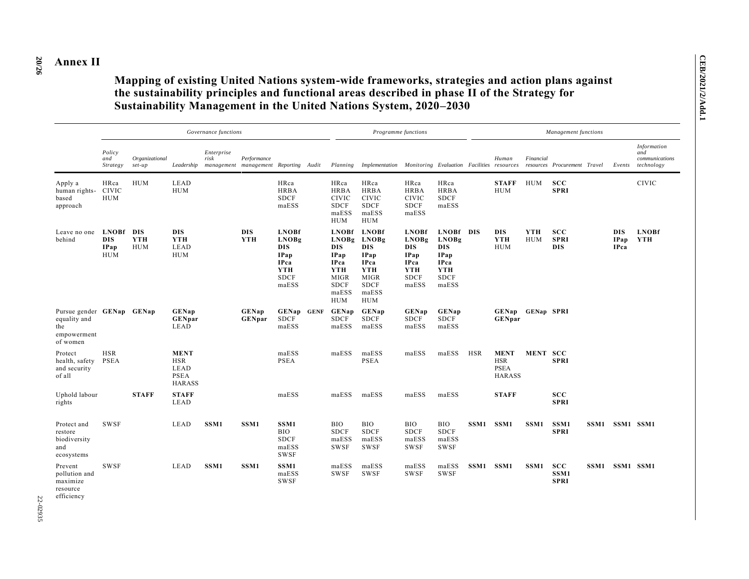#### **20 /26 Annex II**

# **Mapping of existing United Nations system-wide frameworks, strategies and action plans against the sustainability principles and functional areas described in phase II of the Strategy for Sustainability Management in the United Nations System, 2020–2030**

|                                                                             |                                                  |                          |                                                                   | Governance functions |                                                      |                                                                                                  |                                                                                                                        | Programme functions                                                                                                                  |                                                                                                  |                                                                                                      |            |                                                           |                          | Management functions                    |                                   |                                                           |
|-----------------------------------------------------------------------------|--------------------------------------------------|--------------------------|-------------------------------------------------------------------|----------------------|------------------------------------------------------|--------------------------------------------------------------------------------------------------|------------------------------------------------------------------------------------------------------------------------|--------------------------------------------------------------------------------------------------------------------------------------|--------------------------------------------------------------------------------------------------|------------------------------------------------------------------------------------------------------|------------|-----------------------------------------------------------|--------------------------|-----------------------------------------|-----------------------------------|-----------------------------------------------------------|
|                                                                             | Policy<br>and<br>Strategy                        | Organizational<br>set-up | Leadership                                                        | Enterprise<br>risk   | Performance<br>management management Reporting Audit |                                                                                                  |                                                                                                                        | Planning Implementation Monitoring Evaluation Facilities resources                                                                   |                                                                                                  |                                                                                                      |            | Human                                                     | Financial                | resources Procurement Travel            | Events                            | <b>Information</b><br>and<br>communications<br>technology |
| Apply a<br>human rights-<br>based<br>approach                               | HRca<br><b>CIVIC</b><br><b>HUM</b>               | <b>HUM</b>               | <b>LEAD</b><br><b>HUM</b>                                         |                      |                                                      | HRca<br><b>HRBA</b><br><b>SDCF</b><br>maESS                                                      | HRca<br><b>HRBA</b><br><b>CIVIC</b><br><b>SDCF</b><br>maESS<br><b>HUM</b>                                              | HRca<br><b>HRBA</b><br><b>CIVIC</b><br><b>SDCF</b><br>maESS<br><b>HUM</b>                                                            | HRca<br><b>HRBA</b><br><b>CIVIC</b><br><b>SDCF</b><br>maESS                                      | HRca<br><b>HRBA</b><br><b>SDCF</b><br>maESS                                                          |            | <b>STAFF</b><br><b>HUM</b>                                | <b>HUM</b>               | <b>SCC</b><br><b>SPRI</b>               |                                   | <b>CIVIC</b>                                              |
| Leave no one<br>behind                                                      | <b>LNOBf</b><br><b>DIS</b><br>IPap<br><b>HUM</b> | DIS<br>YTH<br><b>HUM</b> | <b>DIS</b><br>YTH<br>LEAD<br><b>HUM</b>                           |                      | <b>DIS</b><br><b>YTH</b>                             | <b>LNOBf</b><br><b>LNOBg</b><br><b>DIS</b><br>IPap<br><b>IPca</b><br>YTH<br><b>SDCF</b><br>maESS | <b>LNOBf</b><br>LNOBg<br><b>DIS</b><br>IPap<br><b>IPca</b><br>YTH<br><b>MIGR</b><br><b>SDCF</b><br>maESS<br><b>HUM</b> | <b>LNOBf</b><br><b>LNOBg</b><br><b>DIS</b><br><b>IPap</b><br><b>IPca</b><br>YTH<br><b>MIGR</b><br><b>SDCF</b><br>maESS<br><b>HUM</b> | <b>LNOBf</b><br><b>LNOBg</b><br>DIS<br><b>IPap</b><br><b>IPca</b><br>YTH<br><b>SDCF</b><br>maESS | LNOBf DIS<br><b>LNOBg</b><br><b>DIS</b><br>IPap<br><b>IPca</b><br><b>YTH</b><br><b>SDCF</b><br>maESS |            | <b>DIS</b><br>YTH<br><b>HUM</b>                           | <b>YTH</b><br><b>HUM</b> | <b>SCC</b><br><b>SPRI</b><br><b>DIS</b> | <b>DIS</b><br>IPap<br><b>IPca</b> | <b>LNOBf</b><br>YTH                                       |
| Pursue gender GENap GENap<br>equality and<br>the<br>empowerment<br>of women |                                                  |                          | <b>GENap</b><br><b>GENpar</b><br>LEAD                             |                      | <b>GENap</b><br><b>GENpar</b>                        | GENap GENF<br><b>SDCF</b><br>maESS                                                               | <b>GENap</b><br><b>SDCF</b><br>maESS                                                                                   | <b>GENap</b><br><b>SDCF</b><br>maESS                                                                                                 | <b>GENap</b><br><b>SDCF</b><br>maESS                                                             | <b>GENap</b><br><b>SDCF</b><br>maESS                                                                 |            | <b>GENap</b><br><b>GENpar</b>                             | <b>GENap SPRI</b>        |                                         |                                   |                                                           |
| Protect<br>health, safety<br>and security<br>of all                         | <b>HSR</b><br><b>PSEA</b>                        |                          | <b>MENT</b><br><b>HSR</b><br>LEAD<br><b>PSEA</b><br><b>HARASS</b> |                      |                                                      | maESS<br><b>PSEA</b>                                                                             | maESS                                                                                                                  | maESS<br><b>PSEA</b>                                                                                                                 | maESS                                                                                            | maESS                                                                                                | <b>HSR</b> | <b>MENT</b><br><b>HSR</b><br><b>PSEA</b><br><b>HARASS</b> | MENT SCC                 | <b>SPRI</b>                             |                                   |                                                           |
| Uphold labour<br>rights                                                     |                                                  | <b>STAFF</b>             | <b>STAFF</b><br>LEAD                                              |                      |                                                      | maESS                                                                                            | maESS                                                                                                                  | maESS                                                                                                                                | maESS                                                                                            | maESS                                                                                                |            | <b>STAFF</b>                                              |                          | <b>SCC</b><br><b>SPRI</b>               |                                   |                                                           |
| Protect and<br>restore<br>biodiversity<br>and<br>ecosystems                 | <b>SWSF</b>                                      |                          | LEAD                                                              | SSM1                 | SSM <sub>1</sub>                                     | SSM1<br><b>BIO</b><br><b>SDCF</b><br>maESS<br><b>SWSF</b>                                        | <b>BIO</b><br><b>SDCF</b><br>maESS<br><b>SWSF</b>                                                                      | <b>BIO</b><br><b>SDCF</b><br>maESS<br><b>SWSF</b>                                                                                    | <b>BIO</b><br><b>SDCF</b><br>maESS<br><b>SWSF</b>                                                | BIO<br><b>SDCF</b><br>maESS<br><b>SWSF</b>                                                           | SSM1       | SSM1                                                      | SSM1                     | SSM1<br><b>SPRI</b>                     | SSM1 SSM1 SSM1                    |                                                           |
| Prevent<br>pollution and<br>maximize<br>resource<br>efficiency              | <b>SWSF</b>                                      |                          | LEAD                                                              | SSM <sub>1</sub>     | SSM <sub>1</sub>                                     | SSM1<br>maESS<br>SWSF                                                                            | maESS<br>SWSF                                                                                                          | maESS<br><b>SWSF</b>                                                                                                                 | maESS<br><b>SWSF</b>                                                                             | maESS<br><b>SWSF</b>                                                                                 | SSM1 SSM1  |                                                           | SSM1                     | <b>SCC</b><br>SSM1<br><b>SPRI</b>       | SSM1 SSM1 SSM1                    |                                                           |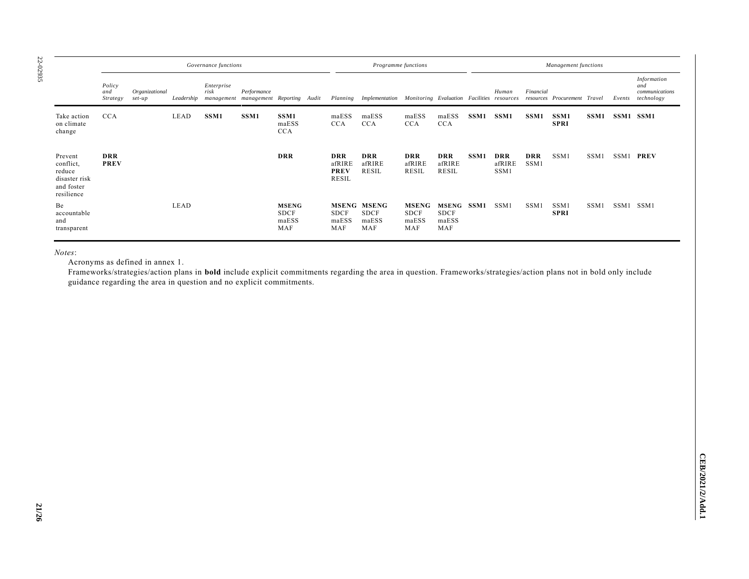| î, |  |
|----|--|

|                                                                             | Governance functions      |                          |            |                                                             |             | Programme functions                         |  |                                                     | Management functions                                               |                                             |                                           |                  |                              |                    |                              |      |           |                                                                  |
|-----------------------------------------------------------------------------|---------------------------|--------------------------|------------|-------------------------------------------------------------|-------------|---------------------------------------------|--|-----------------------------------------------------|--------------------------------------------------------------------|---------------------------------------------|-------------------------------------------|------------------|------------------------------|--------------------|------------------------------|------|-----------|------------------------------------------------------------------|
|                                                                             | Policy<br>and<br>Strategy | Organizational<br>set-up | Leadership | Enterprise<br>risk<br>management management Reporting Audit | Performance |                                             |  |                                                     | Planning Implementation Monitoring Evaluation Facilities resources |                                             |                                           |                  | Human                        | Financial          | resources Procurement Travel |      |           | <b>Information</b><br>and<br>communications<br>Events technology |
| Take action<br>on climate<br>change                                         | <b>CCA</b>                |                          | LEAD       | SSM1                                                        | SSM1        | SSM1<br>maESS<br><b>CCA</b>                 |  | maESS<br><b>CCA</b>                                 | maESS<br><b>CCA</b>                                                | maESS<br><b>CCA</b>                         | maESS<br><b>CCA</b>                       | SSM1             | SSM1                         | SSM1               | SSM1<br><b>SPRI</b>          | SSM1 | SSM1 SSM1 |                                                                  |
| Prevent<br>conflict,<br>reduce<br>disaster risk<br>and foster<br>resilience | <b>DRR</b><br><b>PREV</b> |                          |            |                                                             |             | <b>DRR</b>                                  |  | <b>DRR</b><br>afRIRE<br><b>PREV</b><br><b>RESIL</b> | <b>DRR</b><br>afRIRE<br>RESIL                                      | <b>DRR</b><br>afRIRE<br><b>RESIL</b>        | <b>DRR</b><br>afRIRE<br><b>RESIL</b>      | SSM <sub>1</sub> | <b>DRR</b><br>afRIRE<br>SSM1 | <b>DRR</b><br>SSM1 | SSM1                         | SSM1 |           | SSM1 PREV                                                        |
| Be<br>accountable<br>and<br>transparent                                     |                           |                          | LEAD       |                                                             |             | <b>MSENG</b><br><b>SDCF</b><br>maESS<br>MAF |  | <b>SDCF</b><br>maESS<br>MAF                         | <b>MSENG MSENG</b><br><b>SDCF</b><br>maESS<br>MAF                  | <b>MSENG</b><br><b>SDCF</b><br>maESS<br>MAF | MSENG SSM1<br><b>SDCF</b><br>maESS<br>MAF |                  | SSM1                         | SSM:               | SSM1<br><b>SPRI</b>          | SSM1 | SSM1 SSM1 |                                                                  |

*Notes*:

Acronyms as defined in annex 1.

Frameworks/strategies/action plans in **bold** include explicit commitments regarding the area in question. Frameworks/strategies/action plans not in bold only include guidance regarding the area in question and no explicit commitments.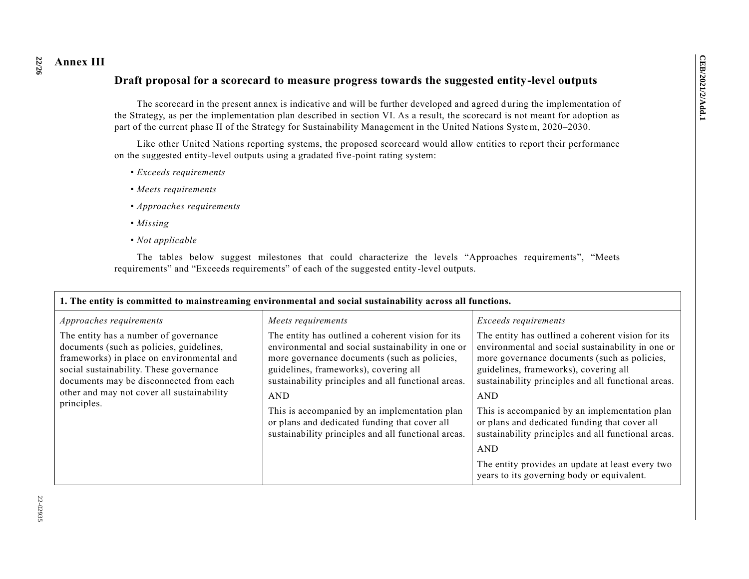# **Annex III Draft proposal for a scorecard to measure progress towards the suggested entity-level outputs**

The scorecard in the present annex is indicative and will be further developed and agreed d uring the implementation of the Strategy, as per the implementation plan described in section VI. As a result, the scorecard is not meant for adoption as part of the current phase II of the Strategy for Sustainability Management in the United Nations Syste m, 2020–2030.

Like other United Nations reporting systems, the proposed scorecard would allow entities to report their performance on the suggested entity-level outputs using a gradated five-point rating system:

- *Exceeds requirements*
- *Meets requirements*
- *Approaches requirements*
- *Missing*
- *Not applicable*

The tables below suggest milestones that could characterize the levels "Approaches requirements", "Meets requirements" and "Exceeds requirements" of each of the suggested entity-level outputs.

| 1. The entity is committed to mainstreaming environmental and social sustainability across all functions.                                                                                                                                                                                                    |                                                                                                                                                                                                                                                                                                                                                                                                                                                     |                                                                                                                                                                                                                                                                                                                                                                                                                                                       |  |  |  |  |  |
|--------------------------------------------------------------------------------------------------------------------------------------------------------------------------------------------------------------------------------------------------------------------------------------------------------------|-----------------------------------------------------------------------------------------------------------------------------------------------------------------------------------------------------------------------------------------------------------------------------------------------------------------------------------------------------------------------------------------------------------------------------------------------------|-------------------------------------------------------------------------------------------------------------------------------------------------------------------------------------------------------------------------------------------------------------------------------------------------------------------------------------------------------------------------------------------------------------------------------------------------------|--|--|--|--|--|
| Approaches requirements<br>The entity has a number of governance<br>documents (such as policies, guidelines,<br>frameworks) in place on environmental and<br>social sustainability. These governance<br>documents may be disconnected from each<br>other and may not cover all sustainability<br>principles. | Meets requirements<br>The entity has outlined a coherent vision for its<br>environmental and social sustainability in one or<br>more governance documents (such as policies,<br>guidelines, frameworks), covering all<br>sustainability principles and all functional areas.<br><b>AND</b><br>This is accompanied by an implementation plan<br>or plans and dedicated funding that cover all<br>sustainability principles and all functional areas. | Exceeds requirements<br>The entity has outlined a coherent vision for its<br>environmental and social sustainability in one or<br>more governance documents (such as policies,<br>guidelines, frameworks), covering all<br>sustainability principles and all functional areas.<br><b>AND</b><br>This is accompanied by an implementation plan<br>or plans and dedicated funding that cover all<br>sustainability principles and all functional areas. |  |  |  |  |  |
|                                                                                                                                                                                                                                                                                                              |                                                                                                                                                                                                                                                                                                                                                                                                                                                     | <b>AND</b>                                                                                                                                                                                                                                                                                                                                                                                                                                            |  |  |  |  |  |
|                                                                                                                                                                                                                                                                                                              |                                                                                                                                                                                                                                                                                                                                                                                                                                                     |                                                                                                                                                                                                                                                                                                                                                                                                                                                       |  |  |  |  |  |
|                                                                                                                                                                                                                                                                                                              |                                                                                                                                                                                                                                                                                                                                                                                                                                                     | The entity provides an update at least every two                                                                                                                                                                                                                                                                                                                                                                                                      |  |  |  |  |  |
|                                                                                                                                                                                                                                                                                                              |                                                                                                                                                                                                                                                                                                                                                                                                                                                     | years to its governing body or equivalent.                                                                                                                                                                                                                                                                                                                                                                                                            |  |  |  |  |  |

**22**

**/26**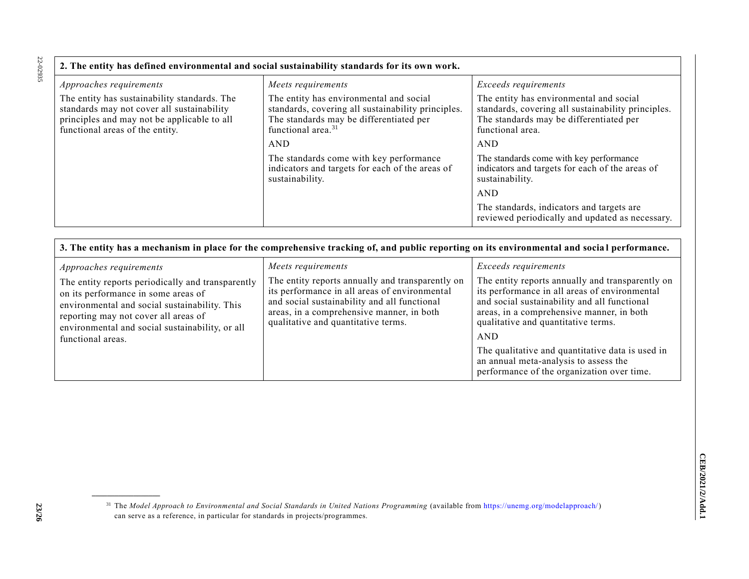22-02935 22-02935

| 2. The entity has defined environmental and social sustainability standards for its own work.                                                                                |                                                                                                                                                                            |                                                                                                                                                              |  |  |  |  |  |
|------------------------------------------------------------------------------------------------------------------------------------------------------------------------------|----------------------------------------------------------------------------------------------------------------------------------------------------------------------------|--------------------------------------------------------------------------------------------------------------------------------------------------------------|--|--|--|--|--|
| Approaches requirements                                                                                                                                                      | Meets requirements                                                                                                                                                         | Exceeds requirements                                                                                                                                         |  |  |  |  |  |
| The entity has sustainability standards. The<br>standards may not cover all sustainability<br>principles and may not be applicable to all<br>functional areas of the entity. | The entity has environmental and social<br>standards, covering all sustainability principles.<br>The standards may be differentiated per<br>functional area. <sup>31</sup> | The entity has environmental and social<br>standards, covering all sustainability principles.<br>The standards may be differentiated per<br>functional area. |  |  |  |  |  |
|                                                                                                                                                                              | AND                                                                                                                                                                        | AND                                                                                                                                                          |  |  |  |  |  |
|                                                                                                                                                                              | The standards come with key performance<br>indicators and targets for each of the areas of<br>sustainability.                                                              | The standards come with key performance<br>indicators and targets for each of the areas of<br>sustainability.                                                |  |  |  |  |  |
|                                                                                                                                                                              |                                                                                                                                                                            | <b>AND</b>                                                                                                                                                   |  |  |  |  |  |
|                                                                                                                                                                              |                                                                                                                                                                            | The standards, indicators and targets are<br>reviewed periodically and updated as necessary.                                                                 |  |  |  |  |  |

| 3. The entity has a mechanism in place for the comprehensive tracking of, and public reporting on its environmental and social performance.                                                                                                                                          |                                                                                                                                                                                                                                                             |                                                                                                                                                                                                                                                                                                                                                                                 |  |  |  |  |  |
|--------------------------------------------------------------------------------------------------------------------------------------------------------------------------------------------------------------------------------------------------------------------------------------|-------------------------------------------------------------------------------------------------------------------------------------------------------------------------------------------------------------------------------------------------------------|---------------------------------------------------------------------------------------------------------------------------------------------------------------------------------------------------------------------------------------------------------------------------------------------------------------------------------------------------------------------------------|--|--|--|--|--|
| Approaches requirements<br>The entity reports periodically and transparently<br>on its performance in some areas of<br>environmental and social sustainability. This<br>reporting may not cover all areas of<br>environmental and social sustainability, or all<br>functional areas. | Meets requirements<br>The entity reports annually and transparently on<br>its performance in all areas of environmental<br>and social sustainability and all functional<br>areas, in a comprehensive manner, in both<br>qualitative and quantitative terms. | <i>Exceeds requirements</i><br>The entity reports annually and transparently on<br>its performance in all areas of environmental<br>and social sustainability and all functional<br>areas, in a comprehensive manner, in both<br>qualitative and quantitative terms.<br><b>AND</b><br>The qualitative and quantitative data is used in<br>an annual meta-analysis to assess the |  |  |  |  |  |
|                                                                                                                                                                                                                                                                                      |                                                                                                                                                                                                                                                             | performance of the organization over time.                                                                                                                                                                                                                                                                                                                                      |  |  |  |  |  |

<sup>31</sup> The *Model Approach to Environmental and Social Standards in United Nations Programming* (available from [https://unemg.org/modelapproach/\)](https://unemg.org/modelapproach/) can serve as a reference, in particular for standards in projects/programmes.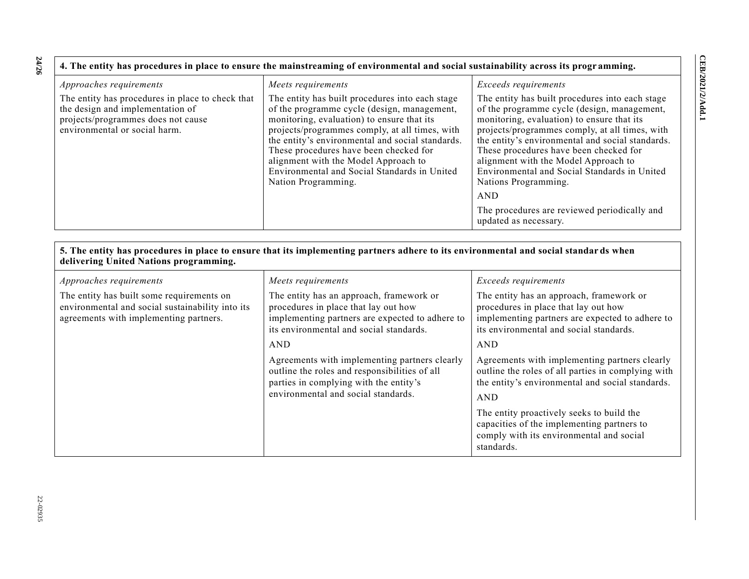**24 /26**

| 4. The entity has procedures in place to ensure the mainstreaming of environmental and social sustainability across its programming.                        |                                                                                                                                                                                                                                                                                                                                                                                                             |                                                                                                                                                                                                                                                                                                                                                                                                                                                                                                     |  |  |  |  |  |
|-------------------------------------------------------------------------------------------------------------------------------------------------------------|-------------------------------------------------------------------------------------------------------------------------------------------------------------------------------------------------------------------------------------------------------------------------------------------------------------------------------------------------------------------------------------------------------------|-----------------------------------------------------------------------------------------------------------------------------------------------------------------------------------------------------------------------------------------------------------------------------------------------------------------------------------------------------------------------------------------------------------------------------------------------------------------------------------------------------|--|--|--|--|--|
| Approaches requirements                                                                                                                                     | Meets requirements                                                                                                                                                                                                                                                                                                                                                                                          | <i>Exceeds requirements</i>                                                                                                                                                                                                                                                                                                                                                                                                                                                                         |  |  |  |  |  |
| The entity has procedures in place to check that<br>the design and implementation of<br>projects/programmes does not cause<br>environmental or social harm. | The entity has built procedures into each stage<br>of the programme cycle (design, management,<br>monitoring, evaluation) to ensure that its<br>projects/programmes comply, at all times, with<br>the entity's environmental and social standards.<br>These procedures have been checked for<br>alignment with the Model Approach to<br>Environmental and Social Standards in United<br>Nation Programming. | The entity has built procedures into each stage<br>of the programme cycle (design, management,<br>monitoring, evaluation) to ensure that its<br>projects/programmes comply, at all times, with<br>the entity's environmental and social standards.<br>These procedures have been checked for<br>alignment with the Model Approach to<br>Environmental and Social Standards in United<br>Nations Programming.<br><b>AND</b><br>The procedures are reviewed periodically and<br>updated as necessary. |  |  |  |  |  |

| 5. The entity has procedures in place to ensure that its implementing partners adhere to its environmental and social standards when<br>delivering United Nations programming. |                                                                                                                                                                                 |                                                                                                                                                                                |  |
|--------------------------------------------------------------------------------------------------------------------------------------------------------------------------------|---------------------------------------------------------------------------------------------------------------------------------------------------------------------------------|--------------------------------------------------------------------------------------------------------------------------------------------------------------------------------|--|
| Approaches requirements                                                                                                                                                        | Meets requirements                                                                                                                                                              | Exceeds requirements                                                                                                                                                           |  |
| The entity has built some requirements on<br>environmental and social sustainability into its<br>agreements with implementing partners.                                        | The entity has an approach, framework or<br>procedures in place that lay out how<br>implementing partners are expected to adhere to<br>its environmental and social standards.  | The entity has an approach, framework or<br>procedures in place that lay out how<br>implementing partners are expected to adhere to<br>its environmental and social standards. |  |
|                                                                                                                                                                                | <b>AND</b>                                                                                                                                                                      | AND                                                                                                                                                                            |  |
|                                                                                                                                                                                | Agreements with implementing partners clearly<br>outline the roles and responsibilities of all<br>parties in complying with the entity's<br>environmental and social standards. | Agreements with implementing partners clearly<br>outline the roles of all parties in complying with<br>the entity's environmental and social standards.<br><b>AND</b>          |  |
|                                                                                                                                                                                |                                                                                                                                                                                 | The entity proactively seeks to build the<br>capacities of the implementing partners to<br>comply with its environmental and social<br>standards.                              |  |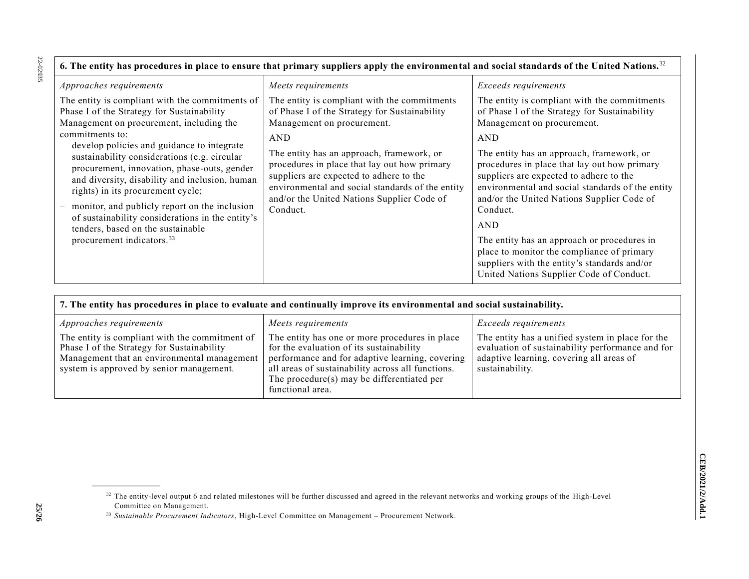22-02935 22-02935

| 6. The entity has procedures in place to ensure that primary suppliers apply the environmental and social standards of the United Nations. <sup>32</sup>                                                                                                                                                                                                                                                                                                                                                                                                                              |                                                                                                                                                                                                                                                                                                                                                                                                 |                                                                                                                                                                                                                                                                                                                                                                                                                                                                                                                                                                                                 |  |
|---------------------------------------------------------------------------------------------------------------------------------------------------------------------------------------------------------------------------------------------------------------------------------------------------------------------------------------------------------------------------------------------------------------------------------------------------------------------------------------------------------------------------------------------------------------------------------------|-------------------------------------------------------------------------------------------------------------------------------------------------------------------------------------------------------------------------------------------------------------------------------------------------------------------------------------------------------------------------------------------------|-------------------------------------------------------------------------------------------------------------------------------------------------------------------------------------------------------------------------------------------------------------------------------------------------------------------------------------------------------------------------------------------------------------------------------------------------------------------------------------------------------------------------------------------------------------------------------------------------|--|
| Approaches requirements                                                                                                                                                                                                                                                                                                                                                                                                                                                                                                                                                               | Meets requirements                                                                                                                                                                                                                                                                                                                                                                              | Exceeds requirements                                                                                                                                                                                                                                                                                                                                                                                                                                                                                                                                                                            |  |
| The entity is compliant with the commitments of<br>Phase I of the Strategy for Sustainability<br>Management on procurement, including the<br>commitments to:<br>- develop policies and guidance to integrate<br>sustainability considerations (e.g. circular<br>procurement, innovation, phase-outs, gender<br>and diversity, disability and inclusion, human<br>rights) in its procurement cycle;<br>monitor, and publicly report on the inclusion<br>of sustainability considerations in the entity's<br>tenders, based on the sustainable<br>procurement indicators. <sup>33</sup> | The entity is compliant with the commitments<br>of Phase I of the Strategy for Sustainability<br>Management on procurement.<br><b>AND</b><br>The entity has an approach, framework, or<br>procedures in place that lay out how primary<br>suppliers are expected to adhere to the<br>environmental and social standards of the entity<br>and/or the United Nations Supplier Code of<br>Conduct. | The entity is compliant with the commitments<br>of Phase I of the Strategy for Sustainability<br>Management on procurement.<br>AND<br>The entity has an approach, framework, or<br>procedures in place that lay out how primary<br>suppliers are expected to adhere to the<br>environmental and social standards of the entity<br>and/or the United Nations Supplier Code of<br>Conduct.<br><b>AND</b><br>The entity has an approach or procedures in<br>place to monitor the compliance of primary<br>suppliers with the entity's standards and/or<br>United Nations Supplier Code of Conduct. |  |

| 7. The entity has procedures in place to evaluate and continually improve its environmental and social sustainability.                                                                  |                                                                                                                                                                                                                                                                         |                                                                                                                                                                     |  |
|-----------------------------------------------------------------------------------------------------------------------------------------------------------------------------------------|-------------------------------------------------------------------------------------------------------------------------------------------------------------------------------------------------------------------------------------------------------------------------|---------------------------------------------------------------------------------------------------------------------------------------------------------------------|--|
| <i>Approaches requirements</i>                                                                                                                                                          | Meets requirements                                                                                                                                                                                                                                                      | <i>Exceeds requirements</i>                                                                                                                                         |  |
| The entity is compliant with the commitment of<br>Phase I of the Strategy for Sustainability<br>Management that an environmental management<br>system is approved by senior management. | The entity has one or more procedures in place<br>for the evaluation of its sustainability<br>performance and for adaptive learning, covering<br>all areas of sustainability across all functions.<br>The procedure $(s)$ may be differentiated per<br>functional area. | The entity has a unified system in place for the<br>evaluation of sustainability performance and for<br>adaptive learning, covering all areas of<br>sustainability. |  |

<sup>&</sup>lt;sup>32</sup> The entity-level output 6 and related milestones will be further discussed and agreed in the relevant networks and working groups of the High-Level Committee on Management.

<sup>33</sup> *Sustainable Procurement Indicators*, High-Level Committee on Management – Procurement Network.